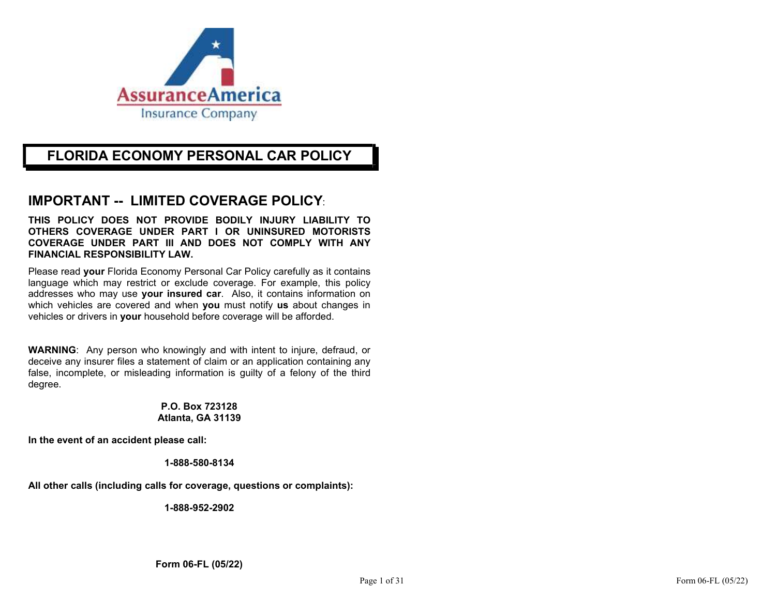

# FLORIDA ECONOMY PERSONAL CAR POLICY

# IMPORTANT -- LIMITED COVERAGE POLICY:

THIS POLICY DOES NOT PROVIDE BODILY INJURY LIABILITY TO OTHERS COVERAGE UNDER PART I OR UNINSURED MOTORISTS COVERAGE UNDER PART III AND DOES NOT COMPLY WITH ANY FINANCIAL RESPONSIBILITY LAW.

Please read your Florida Economy Personal Car Policy carefully as it contains language which may restrict or exclude coverage. For example, this policy addresses who may use your insured car. Also, it contains information on which vehicles are covered and when you must notify us about changes in vehicles or drivers in your household before coverage will be afforded.

WARNING: Any person who knowingly and with intent to injure, defraud, or deceive any insurer files a statement of claim or an application containing any false, incomplete, or misleading information is guilty of a felony of the third degree.

### P.O. Box 723128 Atlanta, GA 31139

In the event of an accident please call:

### 1-888-580-8134

All other calls (including calls for coverage, questions or complaints):

1-888-952-2902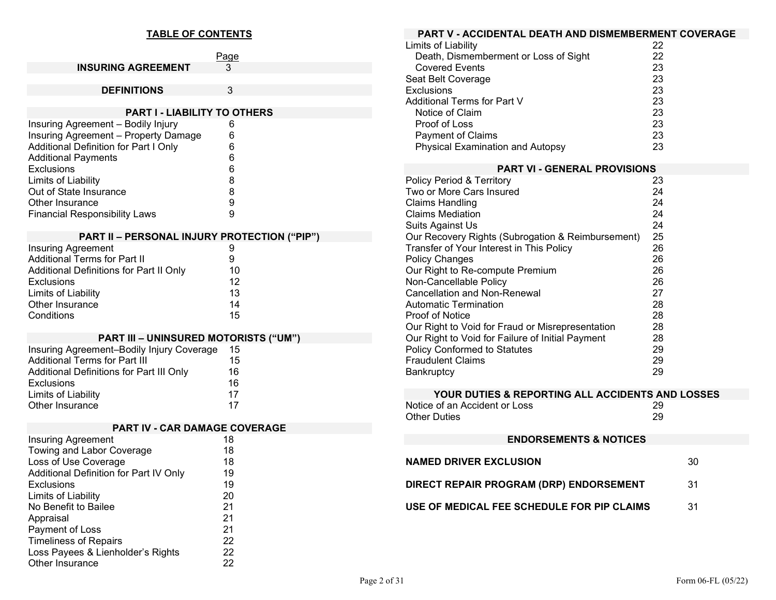## TABLE OF CONTENTS

|                                              | Page |
|----------------------------------------------|------|
| <b>INSURING AGREEMENT</b>                    | 3    |
|                                              |      |
| <b>DEFINITIONS</b>                           | 3    |
|                                              |      |
| <b>PART I - LIABILITY TO OTHERS</b>          |      |
| Insuring Agreement - Bodily Injury           | 6    |
| Insuring Agreement - Property Damage         | 6    |
| <b>Additional Definition for Part I Only</b> | 6    |
| <b>Additional Payments</b>                   | 6    |
| Exclusions                                   | 6    |
| Limits of Liability                          | 8    |
| Out of State Insurance                       | 8    |
| Other Insurance                              | 9    |
| <b>Financial Responsibility Laws</b>         | 9    |
|                                              |      |

## PART II – PERSONAL INJURY PROTECTION ("PIP")

| <b>Insuring Agreement</b>               | 9  |  |
|-----------------------------------------|----|--|
| <b>Additional Terms for Part II</b>     | 9  |  |
| Additional Definitions for Part II Only | 10 |  |
| Exclusions                              | 12 |  |
| Limits of Liability                     | 13 |  |
| Other Insurance                         | 14 |  |
| Conditions                              | 15 |  |

## PART III – UNINSURED MOTORISTS ("UM")

| Insuring Agreement-Bodily Injury Coverage | 15 |  |
|-------------------------------------------|----|--|
| <b>Additional Terms for Part III</b>      | 15 |  |
| Additional Definitions for Part III Only  | 16 |  |
| <b>Exclusions</b>                         | 16 |  |
| Limits of Liability                       | 17 |  |
| Other Insurance                           | 17 |  |

|                                        | <b>PART IV - CAR DAMAGE COVERAGE</b> |
|----------------------------------------|--------------------------------------|
| <b>Insuring Agreement</b>              | 18                                   |
| Towing and Labor Coverage              | 18                                   |
| Loss of Use Coverage                   | 18                                   |
| Additional Definition for Part IV Only | 19                                   |
| Exclusions                             | 19                                   |
| Limits of Liability                    | 20                                   |
| No Benefit to Bailee                   | 21                                   |
| Appraisal                              | 21                                   |
| Payment of Loss                        | 21                                   |
| <b>Timeliness of Repairs</b>           | 22                                   |
| Loss Payees & Lienholder's Rights      | 22                                   |
| Other Insurance                        | 22                                   |

| <b>PART V - ACCIDENTAL DEATH AND DISMEMBERMENT COVERAGE</b>                                   |          |    |  |  |
|-----------------------------------------------------------------------------------------------|----------|----|--|--|
| Limits of Liability                                                                           | 22       |    |  |  |
| Death, Dismemberment or Loss of Sight                                                         | 22       |    |  |  |
| <b>Covered Events</b>                                                                         | 23       |    |  |  |
| Seat Belt Coverage                                                                            | 23       |    |  |  |
| Exclusions                                                                                    | 23       |    |  |  |
| <b>Additional Terms for Part V</b>                                                            | 23       |    |  |  |
| Notice of Claim                                                                               | 23       |    |  |  |
| Proof of Loss                                                                                 | 23       |    |  |  |
| Payment of Claims                                                                             | 23       |    |  |  |
| <b>Physical Examination and Autopsy</b>                                                       | 23       |    |  |  |
| <b>PART VI - GENERAL PROVISIONS</b>                                                           |          |    |  |  |
| Policy Period & Territory                                                                     | 23       |    |  |  |
| Two or More Cars Insured                                                                      | 24       |    |  |  |
| <b>Claims Handling</b>                                                                        | 24       |    |  |  |
| <b>Claims Mediation</b>                                                                       | 24       |    |  |  |
| Suits Against Us                                                                              | 24<br>25 |    |  |  |
| Our Recovery Rights (Subrogation & Reimbursement)<br>Transfer of Your Interest in This Policy | 26       |    |  |  |
| <b>Policy Changes</b>                                                                         | 26       |    |  |  |
| Our Right to Re-compute Premium                                                               | 26       |    |  |  |
| Non-Cancellable Policy                                                                        | 26       |    |  |  |
| <b>Cancellation and Non-Renewal</b>                                                           | 27       |    |  |  |
| <b>Automatic Termination</b>                                                                  | 28       |    |  |  |
| Proof of Notice                                                                               | 28       |    |  |  |
| Our Right to Void for Fraud or Misrepresentation                                              | 28       |    |  |  |
| Our Right to Void for Failure of Initial Payment                                              | 28       |    |  |  |
| <b>Policy Conformed to Statutes</b>                                                           | 29       |    |  |  |
| <b>Fraudulent Claims</b>                                                                      | 29       |    |  |  |
| Bankruptcy                                                                                    | 29       |    |  |  |
| YOUR DUTIES & REPORTING ALL ACCIDENTS AND LOSSES                                              |          |    |  |  |
| Notice of an Accident or Loss                                                                 | 29       |    |  |  |
| <b>Other Duties</b>                                                                           | 29       |    |  |  |
|                                                                                               |          |    |  |  |
| <b>ENDORSEMENTS &amp; NOTICES</b>                                                             |          |    |  |  |
| <b>NAMED DRIVER EXCLUSION</b>                                                                 |          | 30 |  |  |
| DIRECT REPAIR PROGRAM (DRP) ENDORSEMENT                                                       |          | 31 |  |  |
| USE OF MEDICAL FEE SCHEDULE FOR PIP CLAIMS                                                    |          | 31 |  |  |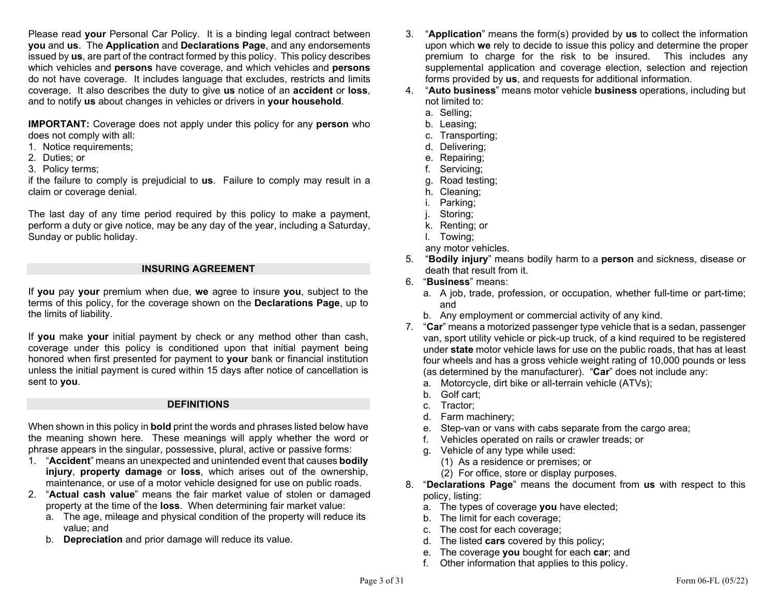Please read your Personal Car Policy. It is a binding legal contract between you and us. The Application and Declarations Page, and any endorsements issued by us, are part of the contract formed by this policy. This policy describes which vehicles and **persons** have coverage, and which vehicles and **persons** do not have coverage. It includes language that excludes, restricts and limits coverage. It also describes the duty to give us notice of an accident or loss, and to notify us about changes in vehicles or drivers in your household.

IMPORTANT: Coverage does not apply under this policy for any person who does not comply with all:

- 1. Notice requirements;
- 2. Duties; or
- 3. Policy terms;

if the failure to comply is prejudicial to **us**. Failure to comply may result in a claim or coverage denial.

The last day of any time period required by this policy to make a payment, perform a duty or give notice, may be any day of the year, including a Saturday, Sunday or public holiday.

### INSURING AGREEMENT

If you pay your premium when due, we agree to insure you, subject to the terms of this policy, for the coverage shown on the Declarations Page, up to the limits of liability.

If you make your initial payment by check or any method other than cash, coverage under this policy is conditioned upon that initial payment being honored when first presented for payment to **your** bank or financial institution unless the initial payment is cured within 15 days after notice of cancellation is sent to you.

#### **DEFINITIONS**

When shown in this policy in **bold** print the words and phrases listed below have the meaning shown here. These meanings will apply whether the word or phrase appears in the singular, possessive, plural, active or passive forms:

- 1. "Accident" means an unexpected and unintended event that causes bodily injury, property damage or loss, which arises out of the ownership, maintenance, or use of a motor vehicle designed for use on public roads.
- 2. "Actual cash value" means the fair market value of stolen or damaged property at the time of the loss. When determining fair market value:
	- a. The age, mileage and physical condition of the property will reduce its value; and
	- b. Depreciation and prior damage will reduce its value.
- 3. "Application" means the form(s) provided by us to collect the information upon which we rely to decide to issue this policy and determine the proper premium to charge for the risk to be insured. This includes any supplemental application and coverage election, selection and rejection forms provided by us, and requests for additional information.
- 4. "Auto business" means motor vehicle business operations, including but not limited to:
	- a. Selling;
	- b. Leasing;
	- c. Transporting;
	- d. Delivering;
	- e. Repairing;
	- f. Servicing;
	- g. Road testing;
	- h. Cleaning;
	- i. Parking;
	- j. Storing;
	- k. Renting; or
	- l. Towing;
	- any motor vehicles.
- 5. "Bodily injury" means bodily harm to a person and sickness, disease or death that result from it.
- 6. "Business" means:
	- a. A job, trade, profession, or occupation, whether full-time or part-time; and
	- b. Any employment or commercial activity of any kind.
- 7. "Car" means a motorized passenger type vehicle that is a sedan, passenger van, sport utility vehicle or pick-up truck, of a kind required to be registered under state motor vehicle laws for use on the public roads, that has at least four wheels and has a gross vehicle weight rating of 10,000 pounds or less (as determined by the manufacturer). "Car" does not include any:
	- a. Motorcycle, dirt bike or all-terrain vehicle (ATVs);
	- b. Golf cart;
	- c. Tractor;
	- d. Farm machinery;
	- e. Step-van or vans with cabs separate from the cargo area;
	- f. Vehicles operated on rails or crawler treads; or
	- g. Vehicle of any type while used:
		- (1) As a residence or premises; or
		- (2) For office, store or display purposes.
- 8. "Declarations Page" means the document from us with respect to this policy, listing:
	- a. The types of coverage you have elected;
	- b. The limit for each coverage;
	- c. The cost for each coverage;
	- d. The listed cars covered by this policy;
	- e. The coverage you bought for each car; and
	- f. Other information that applies to this policy.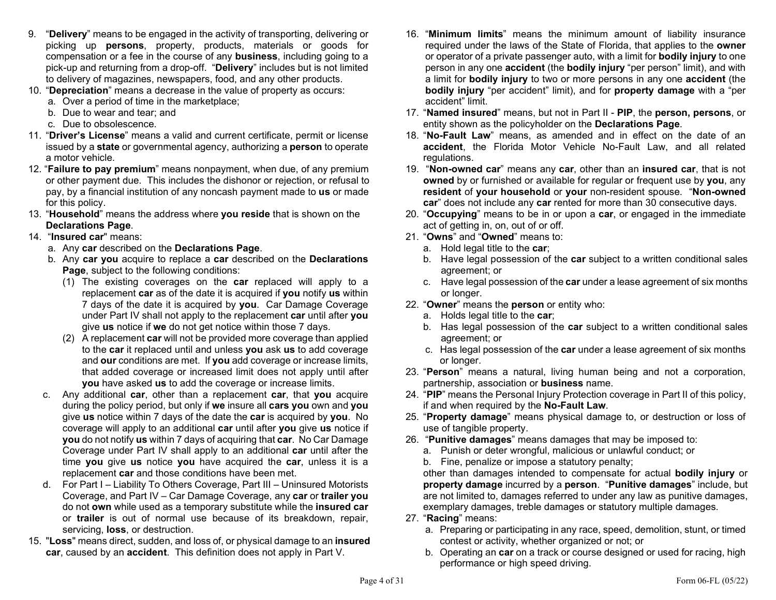- 9. "Delivery" means to be engaged in the activity of transporting, delivering or picking up persons, property, products, materials or goods for compensation or a fee in the course of any business, including going to a pick-up and returning from a drop-off. "Delivery" includes but is not limited to delivery of magazines, newspapers, food, and any other products.
- 10. "Depreciation" means a decrease in the value of property as occurs:
	- a. Over a period of time in the marketplace;
	- b. Due to wear and tear; and
	- c. Due to obsolescence.
- 11. "Driver's License" means a valid and current certificate, permit or license issued by a state or governmental agency, authorizing a person to operate a motor vehicle.
- 12. "Failure to pay premium" means nonpayment, when due, of any premium or other payment due. This includes the dishonor or rejection, or refusal to pay, by a financial institution of any noncash payment made to us or made for this policy.
- 13. "Household" means the address where you reside that is shown on the Declarations Page.
- 14. "Insured car" means:
	- a. Any car described on the Declarations Page.
	- b. Any car you acquire to replace a car described on the Declarations Page, subject to the following conditions:
		- (1) The existing coverages on the car replaced will apply to a replacement car as of the date it is acquired if you notify us within 7 days of the date it is acquired by you. Car Damage Coverage under Part IV shall not apply to the replacement car until after you give us notice if we do not get notice within those 7 days.
		- (2) A replacement car will not be provided more coverage than applied to the car it replaced until and unless you ask us to add coverage and our conditions are met. If you add coverage or increase limits, that added coverage or increased limit does not apply until after you have asked us to add the coverage or increase limits.
	- c. Any additional car, other than a replacement car, that you acquire during the policy period, but only if we insure all cars you own and you give us notice within 7 days of the date the car is acquired by you. No coverage will apply to an additional car until after you give us notice if you do not notify us within 7 days of acquiring that car. No Car Damage Coverage under Part IV shall apply to an additional car until after the time you give us notice you have acquired the car, unless it is a replacement car and those conditions have been met.
	- d. For Part I Liability To Others Coverage, Part III Uninsured Motorists Coverage, and Part IV – Car Damage Coverage, any car or trailer you do not own while used as a temporary substitute while the insured car or trailer is out of normal use because of its breakdown, repair, servicing, **loss**, or destruction.
- 15. "Loss" means direct, sudden, and loss of, or physical damage to an insured car, caused by an accident. This definition does not apply in Part V.
- 16. "Minimum limits" means the minimum amount of liability insurance required under the laws of the State of Florida, that applies to the owner or operator of a private passenger auto, with a limit for bodily injury to one person in any one accident (the bodily injury "per person" limit), and with a limit for bodily injury to two or more persons in any one accident (the bodily injury "per accident" limit), and for property damage with a "per accident" limit.
- 17. "Named insured" means, but not in Part II PIP, the person, persons, or entity shown as the policyholder on the **Declarations Page**.
- 18. "No-Fault Law" means, as amended and in effect on the date of an accident, the Florida Motor Vehicle No-Fault Law, and all related regulations.
- 19. "Non-owned car" means any car, other than an insured car, that is not owned by or furnished or available for regular or frequent use by you, any resident of your household or your non-resident spouse. "Non-owned car" does not include any car rented for more than 30 consecutive days.
- 20. "Occupying" means to be in or upon a car, or engaged in the immediate act of getting in, on, out of or off.
- 21. "Owns" and "Owned" means to:
	- a. Hold legal title to the car;
	- b. Have legal possession of the car subject to a written conditional sales agreement; or
	- c. Have legal possession of the car under a lease agreement of six months or longer.
- 22. "Owner" means the person or entity who:
	- a. Holds legal title to the car;
	- b. Has legal possession of the car subject to a written conditional sales agreement; or
	- c. Has legal possession of the car under a lease agreement of six months or longer.
- 23. "**Person**" means a natural, living human being and not a corporation, partnership, association or **business** name.
- 24. "PIP" means the Personal Injury Protection coverage in Part II of this policy, if and when required by the No-Fault Law.
- 25. "Property damage" means physical damage to, or destruction or loss of use of tangible property.
- 26. "Punitive damages" means damages that may be imposed to:
	- a. Punish or deter wrongful, malicious or unlawful conduct; or
	- b. Fine, penalize or impose a statutory penalty;

 other than damages intended to compensate for actual bodily injury or property damage incurred by a person. "Punitive damages" include, but are not limited to, damages referred to under any law as punitive damages, exemplary damages, treble damages or statutory multiple damages.

- 27. "Racing" means:
	- a. Preparing or participating in any race, speed, demolition, stunt, or timed contest or activity, whether organized or not; or
	- b. Operating an car on a track or course designed or used for racing, high performance or high speed driving.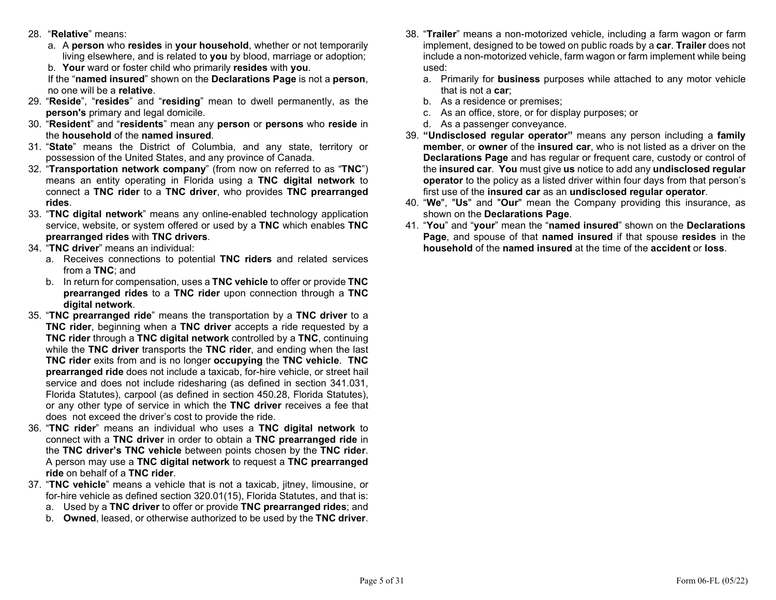- 28. "Relative" means:
	- a. A person who resides in your household, whether or not temporarily living elsewhere, and is related to you by blood, marriage or adoption;
	- b. Your ward or foster child who primarily resides with you.

 If the "named insured" shown on the Declarations Page is not a person, no one will be a relative.

- 29. "Reside", "resides" and "residing" mean to dwell permanently, as the person's primary and legal domicile.
- 30. "Resident" and "residents" mean any person or persons who reside in the household of the named insured.
- 31. "State" means the District of Columbia, and any state, territory or possession of the United States, and any province of Canada.
- 32. "Transportation network company" (from now on referred to as "TNC") means an entity operating in Florida using a TNC digital network to connect a TNC rider to a TNC driver, who provides TNC prearranged rides.
- 33. "TNC digital network" means any online-enabled technology application service, website, or system offered or used by a TNC which enables TNC prearranged rides with TNC drivers.
- 34. "TNC driver" means an individual:
	- a. Receives connections to potential TNC riders and related services from a TNC; and
	- b. In return for compensation, uses a TNC vehicle to offer or provide TNC prearranged rides to a TNC rider upon connection through a TNC digital network.
- 35. "TNC prearranged ride" means the transportation by a TNC driver to a TNC rider, beginning when a TNC driver accepts a ride requested by a TNC rider through a TNC digital network controlled by a TNC, continuing while the TNC driver transports the TNC rider, and ending when the last TNC rider exits from and is no longer occupying the TNC vehicle. TNC prearranged ride does not include a taxicab, for-hire vehicle, or street hail service and does not include ridesharing (as defined in section 341.031, Florida Statutes), carpool (as defined in section 450.28, Florida Statutes), or any other type of service in which the TNC driver receives a fee that does not exceed the driver's cost to provide the ride.
- 36. "TNC rider" means an individual who uses a TNC digital network to connect with a TNC driver in order to obtain a TNC prearranged ride in the TNC driver's TNC vehicle between points chosen by the TNC rider. A person may use a TNC digital network to request a TNC prearranged ride on behalf of a TNC rider.
- 37. "TNC vehicle" means a vehicle that is not a taxicab, jitney, limousine, or for-hire vehicle as defined section 320.01(15), Florida Statutes, and that is:
	- a. Used by a TNC driver to offer or provide TNC prearranged rides; and
	- b. Owned, leased, or otherwise authorized to be used by the TNC driver.
- 38. "Trailer" means a non-motorized vehicle, including a farm wagon or farm implement, designed to be towed on public roads by a car. Trailer does not include a non-motorized vehicle, farm wagon or farm implement while being used:
	- a. Primarily for business purposes while attached to any motor vehicle that is not a car;
	- b. As a residence or premises;
	- c. As an office, store, or for display purposes; or
	- d. As a passenger conveyance.
- 39. "Undisclosed regular operator" means any person including a family member, or owner of the insured car, who is not listed as a driver on the Declarations Page and has regular or frequent care, custody or control of the insured car. You must give us notice to add any undisclosed regular operator to the policy as a listed driver within four days from that person's first use of the insured car as an undisclosed regular operator.
- 40. "We", "Us" and "Our" mean the Company providing this insurance, as shown on the Declarations Page.
- 41. "You" and "your" mean the "named insured" shown on the Declarations Page, and spouse of that named insured if that spouse resides in the household of the named insured at the time of the accident or loss.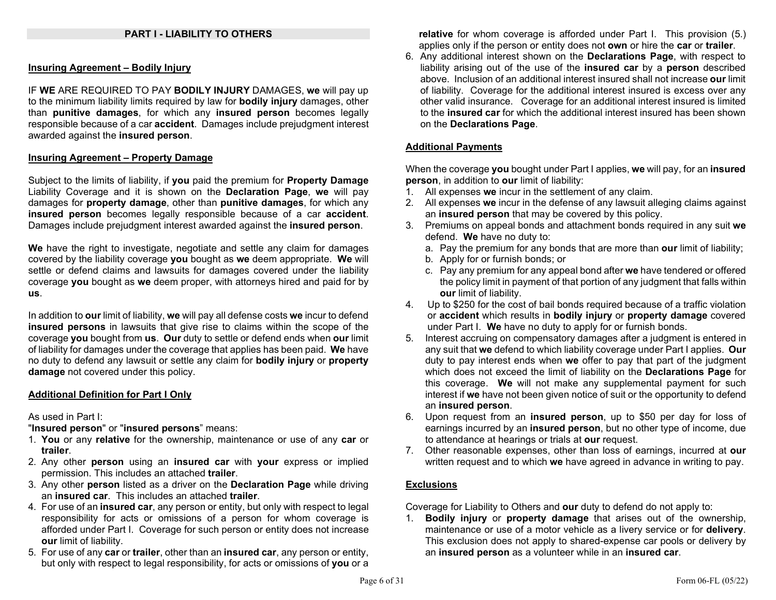### PART I - LIABILITY TO OTHERS

#### Insuring Agreement – Bodily Injury

IF WE ARE REQUIRED TO PAY BODILY INJURY DAMAGES, we will pay up to the minimum liability limits required by law for **bodily injury** damages, other than punitive damages, for which any insured person becomes legally responsible because of a car accident. Damages include prejudgment interest awarded against the insured person.

#### Insuring Agreement – Property Damage

Subject to the limits of liability, if you paid the premium for **Property Damage** Liability Coverage and it is shown on the Declaration Page, we will pay damages for property damage, other than punitive damages, for which any insured person becomes legally responsible because of a car accident. Damages include prejudgment interest awarded against the insured person.

We have the right to investigate, negotiate and settle any claim for damages covered by the liability coverage you bought as we deem appropriate. We will settle or defend claims and lawsuits for damages covered under the liability coverage you bought as we deem proper, with attorneys hired and paid for by us.

In addition to our limit of liability, we will pay all defense costs we incur to defend insured persons in lawsuits that give rise to claims within the scope of the coverage you bought from us. Our duty to settle or defend ends when our limit of liability for damages under the coverage that applies has been paid. We have no duty to defend any lawsuit or settle any claim for bodily injury or property damage not covered under this policy.

#### Additional Definition for Part I Only

As used in Part I:

"Insured person" or "insured persons" means:

- 1. You or any relative for the ownership, maintenance or use of any car or trailer.
- 2. Any other **person** using an **insured car** with your express or implied permission. This includes an attached trailer.
- 3. Any other person listed as a driver on the Declaration Page while driving an insured car. This includes an attached trailer.
- 4. For use of an insured car, any person or entity, but only with respect to legal responsibility for acts or omissions of a person for whom coverage is afforded under Part I. Coverage for such person or entity does not increase our limit of liability.
- 5. For use of any car or trailer, other than an insured car, any person or entity, but only with respect to legal responsibility, for acts or omissions of you or a

relative for whom coverage is afforded under Part I. This provision (5.) applies only if the person or entity does not own or hire the car or trailer.

6. Any additional interest shown on the Declarations Page, with respect to liability arising out of the use of the insured car by a person described above. Inclusion of an additional interest insured shall not increase our limit of liability. Coverage for the additional interest insured is excess over any other valid insurance. Coverage for an additional interest insured is limited to the **insured car** for which the additional interest insured has been shown on the Declarations Page.

### Additional Payments

When the coverage you bought under Part I applies, we will pay, for an insured person, in addition to our limit of liability:

- 1. All expenses we incur in the settlement of any claim.
- 2. All expenses we incur in the defense of any lawsuit alleging claims against an insured person that may be covered by this policy.
- 3. Premiums on appeal bonds and attachment bonds required in any suit we defend. We have no duty to:
	- a. Pay the premium for any bonds that are more than our limit of liability;
	- b. Apply for or furnish bonds; or
	- c. Pay any premium for any appeal bond after we have tendered or offered the policy limit in payment of that portion of any judgment that falls within our limit of liability.
- 4. Up to \$250 for the cost of bail bonds required because of a traffic violation or accident which results in bodily injury or property damage covered under Part I. We have no duty to apply for or furnish bonds.
- 5. Interest accruing on compensatory damages after a judgment is entered in any suit that we defend to which liability coverage under Part I applies. Our duty to pay interest ends when we offer to pay that part of the judgment which does not exceed the limit of liability on the **Declarations Page** for this coverage. We will not make any supplemental payment for such interest if we have not been given notice of suit or the opportunity to defend an insured person.
- 6. Upon request from an insured person, up to \$50 per day for loss of earnings incurred by an insured person, but no other type of income, due to attendance at hearings or trials at our request.
- 7. Other reasonable expenses, other than loss of earnings, incurred at our written request and to which we have agreed in advance in writing to pay.

### **Exclusions**

Coverage for Liability to Others and our duty to defend do not apply to:

1. Bodily injury or property damage that arises out of the ownership, maintenance or use of a motor vehicle as a livery service or for **delivery**. This exclusion does not apply to shared-expense car pools or delivery by an insured person as a volunteer while in an insured car.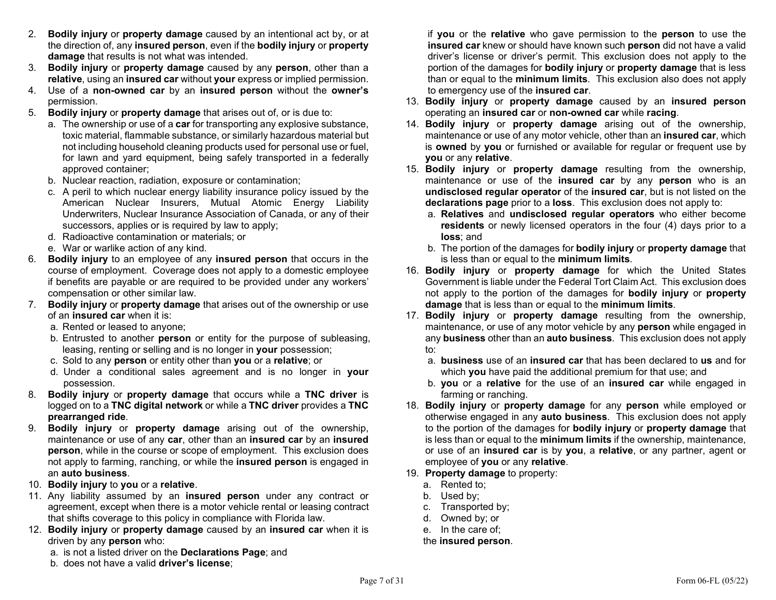- 2. Bodily injury or property damage caused by an intentional act by, or at the direction of, any insured person, even if the bodily injury or property damage that results is not what was intended.
- 3. Bodily injury or property damage caused by any person, other than a relative, using an insured car without your express or implied permission.
- 4. Use of a non-owned car by an insured person without the owner's permission.
- 5. Bodily injury or property damage that arises out of, or is due to:
	- a. The ownership or use of a car for transporting any explosive substance, toxic material, flammable substance, or similarly hazardous material but not including household cleaning products used for personal use or fuel, for lawn and yard equipment, being safely transported in a federally approved container;
	- b. Nuclear reaction, radiation, exposure or contamination;
	- c. A peril to which nuclear energy liability insurance policy issued by the American Nuclear Insurers, Mutual Atomic Energy Liability Underwriters, Nuclear Insurance Association of Canada, or any of their successors, applies or is required by law to apply;
	- d. Radioactive contamination or materials; or
	- e. War or warlike action of any kind.
- 6. Bodily injury to an employee of any insured person that occurs in the course of employment. Coverage does not apply to a domestic employee if benefits are payable or are required to be provided under any workers' compensation or other similar law.
- 7. Bodily injury or property damage that arises out of the ownership or use of an insured car when it is:
	- a. Rented or leased to anyone;
	- b. Entrusted to another person or entity for the purpose of subleasing, leasing, renting or selling and is no longer in your possession;
	- c. Sold to any person or entity other than you or a relative; or
	- d. Under a conditional sales agreement and is no longer in your possession.
- 8. Bodily injury or property damage that occurs while a TNC driver is logged on to a TNC digital network or while a TNC driver provides a TNC prearranged ride.
- 9. Bodily injury or property damage arising out of the ownership, maintenance or use of any car, other than an insured car by an insured person, while in the course or scope of employment. This exclusion does not apply to farming, ranching, or while the insured person is engaged in an auto business.
- 10. Bodily injury to you or a relative.
- 11. Any liability assumed by an insured person under any contract or agreement, except when there is a motor vehicle rental or leasing contract that shifts coverage to this policy in compliance with Florida law.
- 12. Bodily injury or property damage caused by an insured car when it is driven by any person who:
	- a. is not a listed driver on the Declarations Page; and
	- b. does not have a valid driver's license;

if you or the relative who gave permission to the person to use the insured car knew or should have known such person did not have a valid driver's license or driver's permit. This exclusion does not apply to the portion of the damages for bodily injury or property damage that is less than or equal to the minimum limits. This exclusion also does not apply to emergency use of the insured car.

- 13. Bodily injury or property damage caused by an insured person operating an insured car or non-owned car while racing.
- 14. Bodily injury or property damage arising out of the ownership, maintenance or use of any motor vehicle, other than an insured car, which is owned by you or furnished or available for regular or frequent use by you or any relative.
- 15. Bodily injury or property damage resulting from the ownership, maintenance or use of the **insured car** by any **person** who is an undisclosed regular operator of the insured car, but is not listed on the declarations page prior to a loss. This exclusion does not apply to:
	- a. Relatives and undisclosed regular operators who either become residents or newly licensed operators in the four (4) days prior to a loss; and
	- b. The portion of the damages for bodily injury or property damage that is less than or equal to the minimum limits.
- 16. Bodily injury or property damage for which the United States Government is liable under the Federal Tort Claim Act. This exclusion does not apply to the portion of the damages for bodily injury or property damage that is less than or equal to the minimum limits.
- 17. Bodily injury or property damage resulting from the ownership, maintenance, or use of any motor vehicle by any person while engaged in any business other than an auto business. This exclusion does not apply to:
	- a. business use of an insured car that has been declared to us and for which you have paid the additional premium for that use; and
	- b. you or a relative for the use of an insured car while engaged in farming or ranching.
- 18. Bodily injury or property damage for any person while employed or otherwise engaged in any auto business. This exclusion does not apply to the portion of the damages for bodily injury or property damage that is less than or equal to the minimum limits if the ownership, maintenance, or use of an insured car is by you, a relative, or any partner, agent or employee of you or any relative.
- 19. Property damage to property:
	- a. Rented to;
	- b. Used by;
	- c. Transported by;
	- d. Owned by; or
	- e. In the care of;

## the insured person.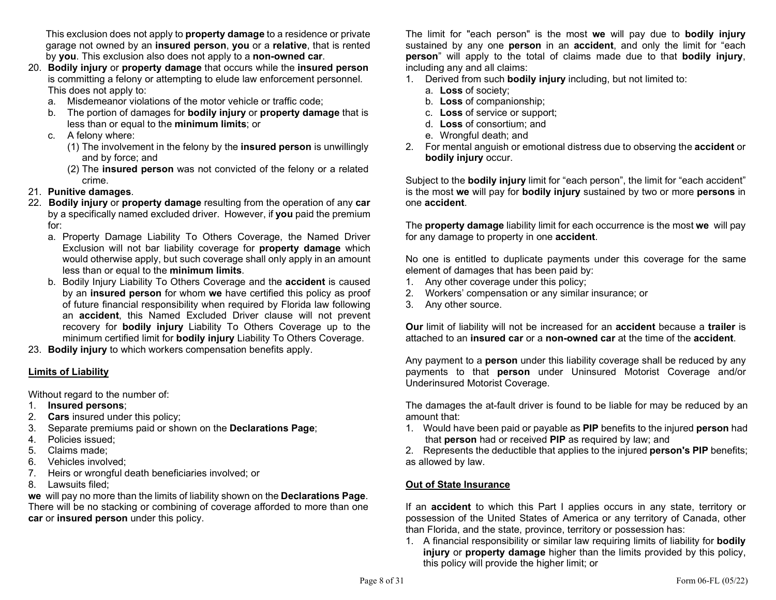This exclusion does not apply to **property damage** to a residence or private garage not owned by an insured person, you or a relative, that is rented by you. This exclusion also does not apply to a non-owned car.

- 20. Bodily injury or property damage that occurs while the insured person is committing a felony or attempting to elude law enforcement personnel. This does not apply to:
	- a. Misdemeanor violations of the motor vehicle or traffic code;
	- b. The portion of damages for **bodily injury** or **property damage** that is less than or equal to the minimum limits; or
	- c. A felony where:
		- (1) The involvement in the felony by the insured person is unwillingly and by force; and
		- (2) The insured person was not convicted of the felony or a related crime.
- 21. Punitive damages.
- 22. Bodily injury or property damage resulting from the operation of any car by a specifically named excluded driver. However, if you paid the premium for:
	- a. Property Damage Liability To Others Coverage, the Named Driver Exclusion will not bar liability coverage for property damage which would otherwise apply, but such coverage shall only apply in an amount less than or equal to the minimum limits.
	- b. Bodily Injury Liability To Others Coverage and the accident is caused by an insured person for whom we have certified this policy as proof of future financial responsibility when required by Florida law following an accident, this Named Excluded Driver clause will not prevent recovery for bodily injury Liability To Others Coverage up to the minimum certified limit for **bodily injury** Liability To Others Coverage.
- 23. Bodily injury to which workers compensation benefits apply.

## Limits of Liability

Without regard to the number of:

- 1. Insured persons;
- 2. Cars insured under this policy;
- 3. Separate premiums paid or shown on the Declarations Page;
- 4. Policies issued;
- 5. Claims made;
- 6. Vehicles involved;
- 7. Heirs or wrongful death beneficiaries involved; or
- 8. Lawsuits filed;

we will pay no more than the limits of liability shown on the **Declarations Page**. There will be no stacking or combining of coverage afforded to more than one car or insured person under this policy.

The limit for "each person" is the most we will pay due to **bodily injury** sustained by any one **person** in an **accident**, and only the limit for "each person" will apply to the total of claims made due to that bodily injury, including any and all claims:

- 1. Derived from such bodily injury including, but not limited to:
	- a. Loss of society;
	- b. Loss of companionship;
	- c. Loss of service or support;
	- d. Loss of consortium; and
	- e. Wrongful death; and
- 2. For mental anguish or emotional distress due to observing the **accident** or bodily injury occur.

Subject to the **bodily injury** limit for "each person", the limit for "each accident" is the most we will pay for bodily injury sustained by two or more persons in one accident.

The **property damage** liability limit for each occurrence is the most we will pay for any damage to property in one **accident**.

No one is entitled to duplicate payments under this coverage for the same element of damages that has been paid by:

- 1. Any other coverage under this policy;
- 2. Workers' compensation or any similar insurance; or
- 3. Any other source.

Our limit of liability will not be increased for an accident because a trailer is attached to an insured car or a non-owned car at the time of the accident.

Any payment to a **person** under this liability coverage shall be reduced by any payments to that person under Uninsured Motorist Coverage and/or Underinsured Motorist Coverage.

The damages the at-fault driver is found to be liable for may be reduced by an amount that:

1. Would have been paid or payable as PIP benefits to the injured person had that person had or received PIP as required by law; and

2. Represents the deductible that applies to the injured **person's PIP** benefits; as allowed by law.

## Out of State Insurance

If an **accident** to which this Part I applies occurs in any state, territory or possession of the United States of America or any territory of Canada, other than Florida, and the state, province, territory or possession has:

1. A financial responsibility or similar law requiring limits of liability for bodily injury or property damage higher than the limits provided by this policy, this policy will provide the higher limit; or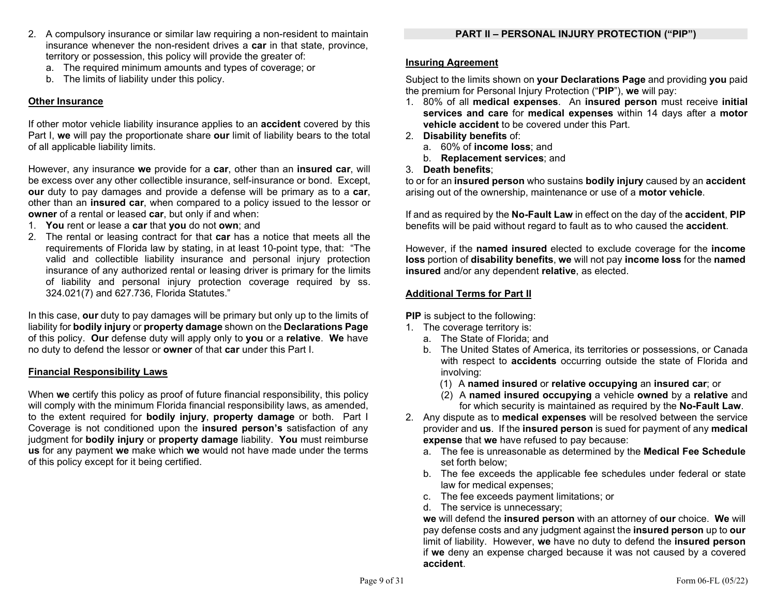- 2. A compulsory insurance or similar law requiring a non-resident to maintain insurance whenever the non-resident drives a car in that state, province, territory or possession, this policy will provide the greater of:
	- a. The required minimum amounts and types of coverage; or
	- b. The limits of liability under this policy.

## Other Insurance

If other motor vehicle liability insurance applies to an **accident** covered by this Part I, we will pay the proportionate share our limit of liability bears to the total of all applicable liability limits.

However, any insurance we provide for a car, other than an insured car, will be excess over any other collectible insurance, self-insurance or bond. Except, our duty to pay damages and provide a defense will be primary as to a car, other than an insured car, when compared to a policy issued to the lessor or owner of a rental or leased car, but only if and when:

- 1. You rent or lease a car that you do not own; and
- 2. The rental or leasing contract for that car has a notice that meets all the requirements of Florida law by stating, in at least 10-point type, that: "The valid and collectible liability insurance and personal injury protection insurance of any authorized rental or leasing driver is primary for the limits of liability and personal injury protection coverage required by ss. 324.021(7) and 627.736, Florida Statutes."

In this case, our duty to pay damages will be primary but only up to the limits of liability for bodily injury or property damage shown on the Declarations Page of this policy. Our defense duty will apply only to you or a relative. We have no duty to defend the lessor or **owner** of that car under this Part I.

### Financial Responsibility Laws

When we certify this policy as proof of future financial responsibility, this policy will comply with the minimum Florida financial responsibility laws, as amended, to the extent required for bodily injury, property damage or both. Part I Coverage is not conditioned upon the insured person's satisfaction of any judgment for bodily injury or property damage liability. You must reimburse us for any payment we make which we would not have made under the terms of this policy except for it being certified.

## Insuring Agreement

Subject to the limits shown on your Declarations Page and providing you paid the premium for Personal Injury Protection ("PIP"), we will pay:

- 1. 80% of all medical expenses. An insured person must receive initial services and care for medical expenses within 14 days after a motor vehicle accident to be covered under this Part.
- 2. Disability benefits of:
	- a. 60% of income loss; and
	- b. Replacement services; and
- 3. Death benefits;

to or for an insured person who sustains bodily injury caused by an accident arising out of the ownership, maintenance or use of a **motor vehicle**.

If and as required by the No-Fault Law in effect on the day of the accident, PIP benefits will be paid without regard to fault as to who caused the **accident**.

However, if the named insured elected to exclude coverage for the income loss portion of disability benefits, we will not pay income loss for the named insured and/or any dependent relative, as elected.

## Additional Terms for Part II

PIP is subject to the following:

- 1. The coverage territory is:
	- a. The State of Florida; and
	- b. The United States of America, its territories or possessions, or Canada with respect to **accidents** occurring outside the state of Florida and involving:
		- (1) A named insured or relative occupying an insured car; or
		- (2) A named insured occupying a vehicle owned by a relative and for which security is maintained as required by the No-Fault Law.
- 2. Any dispute as to **medical expenses** will be resolved between the service provider and us. If the insured person is sued for payment of any medical expense that we have refused to pay because:
	- a. The fee is unreasonable as determined by the Medical Fee Schedule set forth below;
	- b. The fee exceeds the applicable fee schedules under federal or state law for medical expenses;
	- c. The fee exceeds payment limitations; or
	- d. The service is unnecessary;

we will defend the insured person with an attorney of our choice. We will pay defense costs and any judgment against the insured person up to our limit of liability. However, we have no duty to defend the insured person if we deny an expense charged because it was not caused by a covered accident.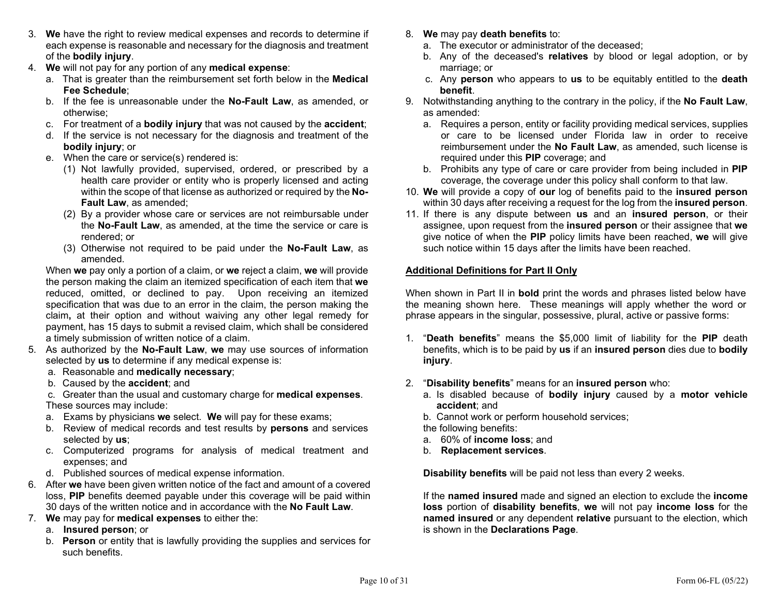- 3. We have the right to review medical expenses and records to determine if each expense is reasonable and necessary for the diagnosis and treatment of the bodily injury.
- 4. We will not pay for any portion of any medical expense:
	- a. That is greater than the reimbursement set forth below in the Medical Fee Schedule;
	- b. If the fee is unreasonable under the No-Fault Law, as amended, or otherwise;
	- c. For treatment of a bodily injury that was not caused by the accident;
	- d. If the service is not necessary for the diagnosis and treatment of the bodily injury; or
	- e. When the care or service(s) rendered is:
		- (1) Not lawfully provided, supervised, ordered, or prescribed by a health care provider or entity who is properly licensed and acting within the scope of that license as authorized or required by the No-Fault Law, as amended;
		- (2) By a provider whose care or services are not reimbursable under the No-Fault Law, as amended, at the time the service or care is rendered; or
		- (3) Otherwise not required to be paid under the No-Fault Law, as amended.

When we pay only a portion of a claim, or we reject a claim, we will provide the person making the claim an itemized specification of each item that we reduced, omitted, or declined to pay. Upon receiving an itemized specification that was due to an error in the claim, the person making the claim, at their option and without waiving any other legal remedy for payment, has 15 days to submit a revised claim, which shall be considered a timely submission of written notice of a claim.

- 5. As authorized by the No-Fault Law, we may use sources of information selected by us to determine if any medical expense is:
	- a. Reasonable and medically necessary;
	- b. Caused by the accident; and

 c. Greater than the usual and customary charge for medical expenses. These sources may include:

- a. Exams by physicians we select. We will pay for these exams;
- b. Review of medical records and test results by persons and services selected by us;
- c. Computerized programs for analysis of medical treatment and expenses; and
- d. Published sources of medical expense information.
- 6. After we have been given written notice of the fact and amount of a covered loss, PIP benefits deemed payable under this coverage will be paid within 30 days of the written notice and in accordance with the No Fault Law.
- 7. We may pay for medical expenses to either the:
	- a. Insured person; or
	- b. Person or entity that is lawfully providing the supplies and services for such benefits.
- 8. We may pay death benefits to:
	- a. The executor or administrator of the deceased;
	- b. Any of the deceased's relatives by blood or legal adoption, or by marriage; or
	- c. Any person who appears to us to be equitably entitled to the death benefit.
- 9. Notwithstanding anything to the contrary in the policy, if the No Fault Law, as amended:
	- a. Requires a person, entity or facility providing medical services, supplies or care to be licensed under Florida law in order to receive reimbursement under the No Fault Law, as amended, such license is required under this PIP coverage; and
	- b. Prohibits any type of care or care provider from being included in PIP coverage, the coverage under this policy shall conform to that law.
- 10. We will provide a copy of our log of benefits paid to the insured person within 30 days after receiving a request for the log from the **insured person**.
- 11. If there is any dispute between us and an insured person, or their assignee, upon request from the insured person or their assignee that we give notice of when the PIP policy limits have been reached, we will give such notice within 15 days after the limits have been reached.

## Additional Definitions for Part II Only

When shown in Part II in **bold** print the words and phrases listed below have the meaning shown here. These meanings will apply whether the word or phrase appears in the singular, possessive, plural, active or passive forms:

- 1. "Death benefits" means the \$5,000 limit of liability for the PIP death benefits, which is to be paid by us if an insured person dies due to bodily injury.
- 2. "Disability benefits" means for an insured person who:
	- a. Is disabled because of bodily injury caused by a motor vehicle accident; and
	- b. Cannot work or perform household services;

the following benefits:

- a. 60% of income loss; and
- b. Replacement services.

Disability benefits will be paid not less than every 2 weeks.

 If the named insured made and signed an election to exclude the income loss portion of disability benefits, we will not pay income loss for the named insured or any dependent relative pursuant to the election, which is shown in the Declarations Page.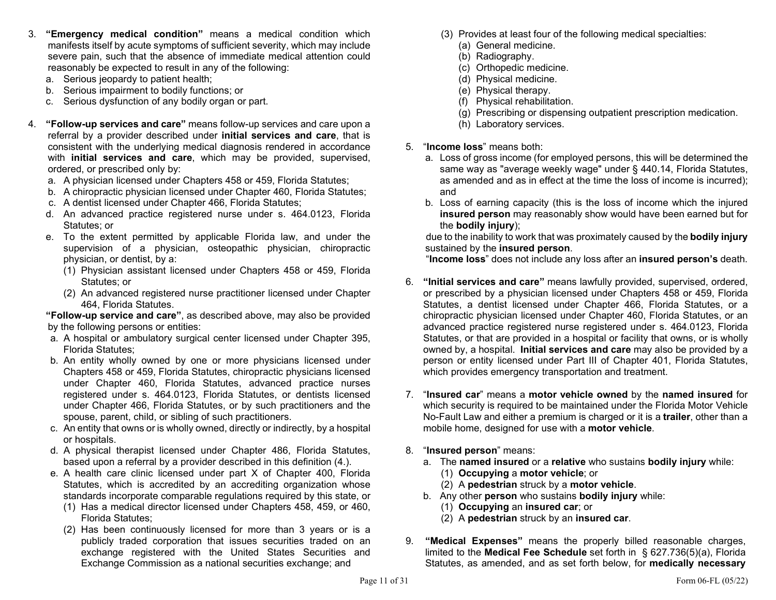- 3. "Emergency medical condition" means a medical condition which manifests itself by acute symptoms of sufficient severity, which may include severe pain, such that the absence of immediate medical attention could reasonably be expected to result in any of the following:
	- a. Serious jeopardy to patient health;
	- b. Serious impairment to bodily functions; or
	- c. Serious dysfunction of any bodily organ or part.
- 4. "Follow-up services and care" means follow-up services and care upon a referral by a provider described under *initial* services and care, that is consistent with the underlying medical diagnosis rendered in accordance with **initial services and care**, which may be provided, supervised, ordered, or prescribed only by:
	- a. A physician licensed under Chapters 458 or 459, Florida Statutes;
	- b. A chiropractic physician licensed under Chapter 460, Florida Statutes;
	- c. A dentist licensed under Chapter 466, Florida Statutes;
	- d. An advanced practice registered nurse under s. 464.0123, Florida Statutes; or
	- e. To the extent permitted by applicable Florida law, and under the supervision of a physician, osteopathic physician, chiropractic physician, or dentist, by a:
		- (1) Physician assistant licensed under Chapters 458 or 459, Florida Statutes; or
		- (2) An advanced registered nurse practitioner licensed under Chapter 464, Florida Statutes.

"Follow-up service and care", as described above, may also be provided by the following persons or entities:

- a. A hospital or ambulatory surgical center licensed under Chapter 395, Florida Statutes;
- b. An entity wholly owned by one or more physicians licensed under Chapters 458 or 459, Florida Statutes, chiropractic physicians licensed under Chapter 460, Florida Statutes, advanced practice nurses registered under s. 464.0123, Florida Statutes, or dentists licensed under Chapter 466, Florida Statutes, or by such practitioners and the spouse, parent, child, or sibling of such practitioners.
- c. An entity that owns or is wholly owned, directly or indirectly, by a hospital or hospitals.
- d. A physical therapist licensed under Chapter 486, Florida Statutes, based upon a referral by a provider described in this definition (4.).
- e. A health care clinic licensed under part X of Chapter 400, Florida Statutes, which is accredited by an accrediting organization whose standards incorporate comparable regulations required by this state, or
	- (1) Has a medical director licensed under Chapters 458, 459, or 460, Florida Statutes;
	- (2) Has been continuously licensed for more than 3 years or is a publicly traded corporation that issues securities traded on an exchange registered with the United States Securities and Exchange Commission as a national securities exchange; and
- (3) Provides at least four of the following medical specialties:
	- (a) General medicine.
	- (b) Radiography.
	- (c) Orthopedic medicine.
	- (d) Physical medicine.
	- (e) Physical therapy.
	- (f) Physical rehabilitation.
	- (g) Prescribing or dispensing outpatient prescription medication.
	- (h) Laboratory services.
- 5. "Income loss" means both:
	- a. Loss of gross income (for employed persons, this will be determined the same way as "average weekly wage" under § 440.14, Florida Statutes, as amended and as in effect at the time the loss of income is incurred); and
	- b. Loss of earning capacity (this is the loss of income which the injured insured person may reasonably show would have been earned but for the bodily injury);

due to the inability to work that was proximately caused by the **bodily injury** sustained by the insured person.

"Income loss" does not include any loss after an insured person's death.

- 6. "Initial services and care" means lawfully provided, supervised, ordered, or prescribed by a physician licensed under Chapters 458 or 459, Florida Statutes, a dentist licensed under Chapter 466, Florida Statutes, or a chiropractic physician licensed under Chapter 460, Florida Statutes, or an advanced practice registered nurse registered under s. 464.0123, Florida Statutes, or that are provided in a hospital or facility that owns, or is wholly owned by, a hospital. Initial services and care may also be provided by a person or entity licensed under Part III of Chapter 401, Florida Statutes, which provides emergency transportation and treatment.
- 7. "Insured car" means a motor vehicle owned by the named insured for which security is required to be maintained under the Florida Motor Vehicle No-Fault Law and either a premium is charged or it is a **trailer**, other than a mobile home, designed for use with a motor vehicle.
- 8. "Insured person" means:
	- a. The named insured or a relative who sustains bodily injury while:
		- (1) Occupying a motor vehicle; or
		- (2) A pedestrian struck by a motor vehicle.
	- b. Any other person who sustains bodily injury while:
		- (1) Occupying an insured car; or
		- (2) A pedestrian struck by an insured car.
- 9. "Medical Expenses" means the properly billed reasonable charges, limited to the Medical Fee Schedule set forth in § 627.736(5)(a), Florida Statutes, as amended, and as set forth below, for medically necessary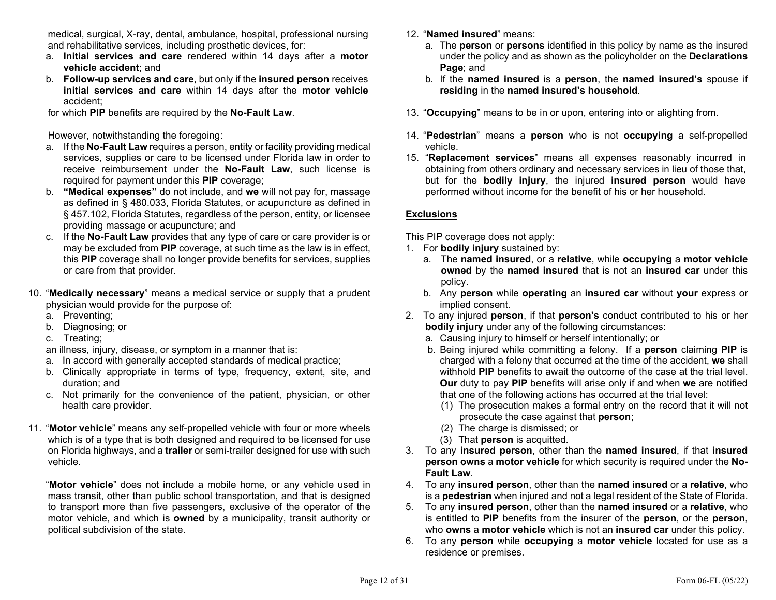medical, surgical, X-ray, dental, ambulance, hospital, professional nursing and rehabilitative services, including prosthetic devices, for:

- a. Initial services and care rendered within 14 days after a motor vehicle accident; and
- b. Follow-up services and care, but only if the insured person receives initial services and care within 14 days after the motor vehicle accident;

for which PIP benefits are required by the No-Fault Law.

However, notwithstanding the foregoing:

- a. If the No-Fault Law requires a person, entity or facility providing medical services, supplies or care to be licensed under Florida law in order to receive reimbursement under the No-Fault Law, such license is required for payment under this PIP coverage;
- b. "Medical expenses" do not include, and we will not pay for, massage as defined in § 480.033, Florida Statutes, or acupuncture as defined in § 457.102, Florida Statutes, regardless of the person, entity, or licensee providing massage or acupuncture; and
- c. If the No-Fault Law provides that any type of care or care provider is or may be excluded from PIP coverage, at such time as the law is in effect, this PIP coverage shall no longer provide benefits for services, supplies or care from that provider.
- 10. "Medically necessary" means a medical service or supply that a prudent physician would provide for the purpose of:
	- a. Preventing;
	- b. Diagnosing; or
	- c. Treating;

an illness, injury, disease, or symptom in a manner that is:

- a. In accord with generally accepted standards of medical practice;
- b. Clinically appropriate in terms of type, frequency, extent, site, and duration; and
- c. Not primarily for the convenience of the patient, physician, or other health care provider.
- 11. "Motor vehicle" means any self-propelled vehicle with four or more wheels which is of a type that is both designed and required to be licensed for use on Florida highways, and a trailer or semi-trailer designed for use with such vehicle.

 "Motor vehicle" does not include a mobile home, or any vehicle used in mass transit, other than public school transportation, and that is designed to transport more than five passengers, exclusive of the operator of the motor vehicle, and which is owned by a municipality, transit authority or political subdivision of the state.

- 12. "Named insured" means:
	- a. The **person** or **persons** identified in this policy by name as the insured under the policy and as shown as the policyholder on the Declarations Page; and
	- b. If the named insured is a person, the named insured's spouse if residing in the named insured's household.
- 13. "Occupying" means to be in or upon, entering into or alighting from.
- 14. "Pedestrian" means a person who is not occupying a self-propelled vehicle.
- 15. "Replacement services" means all expenses reasonably incurred in obtaining from others ordinary and necessary services in lieu of those that, but for the bodily injury, the injured insured person would have performed without income for the benefit of his or her household.

## Exclusions

This PIP coverage does not apply:

- 1. For bodily injury sustained by:
	- a. The named insured, or a relative, while occupying a motor vehicle owned by the named insured that is not an insured car under this policy.
	- b. Any person while operating an insured car without your express or implied consent.
- 2. To any injured **person**, if that **person's** conduct contributed to his or her bodily injury under any of the following circumstances:
	- a. Causing injury to himself or herself intentionally; or
	- b. Being injured while committing a felony. If a person claiming PIP is charged with a felony that occurred at the time of the accident, we shall withhold PIP benefits to await the outcome of the case at the trial level. Our duty to pay PIP benefits will arise only if and when we are notified that one of the following actions has occurred at the trial level:
		- (1) The prosecution makes a formal entry on the record that it will not prosecute the case against that person;
		- (2) The charge is dismissed; or
		- (3) That person is acquitted.
- 3. To any insured person, other than the named insured, if that insured person owns a motor vehicle for which security is required under the No-Fault Law.
- 4. To any insured person, other than the named insured or a relative, who is a pedestrian when injured and not a legal resident of the State of Florida.
- 5. To any insured person, other than the named insured or a relative, who is entitled to PIP benefits from the insurer of the person, or the person, who **owns** a **motor vehicle** which is not an **insured car** under this policy.
- 6. To any person while occupying a motor vehicle located for use as a residence or premises.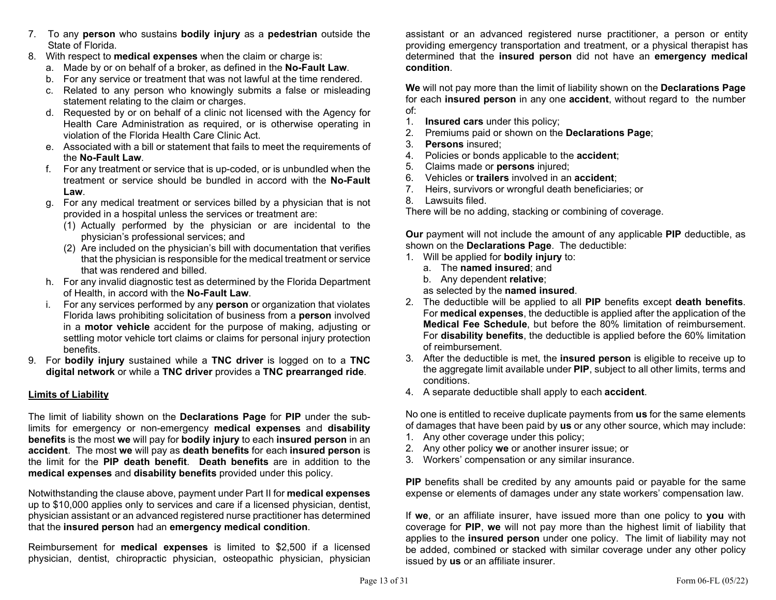- 7. To any person who sustains bodily injury as a pedestrian outside the State of Florida.
- 8. With respect to **medical expenses** when the claim or charge is:
	- a. Made by or on behalf of a broker, as defined in the No-Fault Law.
	- b. For any service or treatment that was not lawful at the time rendered.
	- c. Related to any person who knowingly submits a false or misleading statement relating to the claim or charges.
	- d. Requested by or on behalf of a clinic not licensed with the Agency for Health Care Administration as required, or is otherwise operating in violation of the Florida Health Care Clinic Act.
	- e. Associated with a bill or statement that fails to meet the requirements of the No-Fault Law.
	- f. For any treatment or service that is up-coded, or is unbundled when the treatment or service should be bundled in accord with the No-Fault Law.
	- g. For any medical treatment or services billed by a physician that is not provided in a hospital unless the services or treatment are:
		- (1) Actually performed by the physician or are incidental to the physician's professional services; and
		- (2) Are included on the physician's bill with documentation that verifies that the physician is responsible for the medical treatment or service that was rendered and billed.
	- h. For any invalid diagnostic test as determined by the Florida Department of Health, in accord with the No-Fault Law.
	- i. For any services performed by any **person** or organization that violates Florida laws prohibiting solicitation of business from a person involved in a motor vehicle accident for the purpose of making, adjusting or settling motor vehicle tort claims or claims for personal injury protection benefits.
- 9. For bodily injury sustained while a TNC driver is logged on to a TNC digital network or while a TNC driver provides a TNC prearranged ride.

## Limits of Liability

The limit of liability shown on the **Declarations Page** for **PIP** under the sublimits for emergency or non-emergency medical expenses and disability benefits is the most we will pay for bodily injury to each insured person in an accident. The most we will pay as death benefits for each insured person is the limit for the PIP death benefit. Death benefits are in addition to the medical expenses and disability benefits provided under this policy.

Notwithstanding the clause above, payment under Part II for medical expenses up to \$10,000 applies only to services and care if a licensed physician, dentist, physician assistant or an advanced registered nurse practitioner has determined that the insured person had an emergency medical condition.

Reimbursement for medical expenses is limited to \$2,500 if a licensed physician, dentist, chiropractic physician, osteopathic physician, physician

assistant or an advanced registered nurse practitioner, a person or entity providing emergency transportation and treatment, or a physical therapist has determined that the insured person did not have an emergency medical condition.

We will not pay more than the limit of liability shown on the **Declarations Page** for each **insured person** in any one **accident**, without regard to the number of:

- 1. Insured cars under this policy;
- 2. Premiums paid or shown on the Declarations Page;
- 3. Persons insured;
- 4. Policies or bonds applicable to the **accident**;
- 5. Claims made or persons injured;
- 6. Vehicles or trailers involved in an accident;
- 7. Heirs, survivors or wrongful death beneficiaries; or
- 8. Lawsuits filed.

There will be no adding, stacking or combining of coverage.

**Our** payment will not include the amount of any applicable **PIP** deductible, as shown on the Declarations Page. The deductible:

- 1. Will be applied for bodily injury to:
	- a. The named insured; and
	- b. Any dependent relative;

as selected by the named insured.

- 2. The deductible will be applied to all PIP benefits except death benefits. For medical expenses, the deductible is applied after the application of the Medical Fee Schedule, but before the 80% limitation of reimbursement. For disability benefits, the deductible is applied before the 60% limitation of reimbursement.
- 3. After the deductible is met, the insured person is eligible to receive up to the aggregate limit available under PIP, subject to all other limits, terms and conditions.
- 4. A separate deductible shall apply to each **accident**.

No one is entitled to receive duplicate payments from us for the same elements of damages that have been paid by us or any other source, which may include:

- 1. Any other coverage under this policy;
- 2. Any other policy we or another insurer issue; or
- 3. Workers' compensation or any similar insurance.

PIP benefits shall be credited by any amounts paid or payable for the same expense or elements of damages under any state workers' compensation law.

If we, or an affiliate insurer, have issued more than one policy to you with coverage for PIP, we will not pay more than the highest limit of liability that applies to the **insured person** under one policy. The limit of liability may not be added, combined or stacked with similar coverage under any other policy issued by us or an affiliate insurer.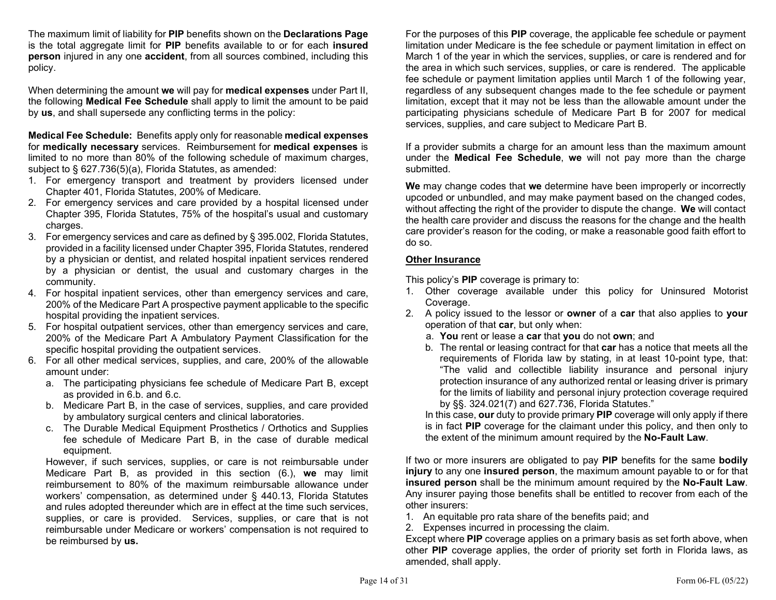The maximum limit of liability for PIP benefits shown on the Declarations Page is the total aggregate limit for PIP benefits available to or for each insured person injured in any one accident, from all sources combined, including this policy.

When determining the amount we will pay for medical expenses under Part II, the following Medical Fee Schedule shall apply to limit the amount to be paid by us, and shall supersede any conflicting terms in the policy:

Medical Fee Schedule: Benefits apply only for reasonable medical expenses for medically necessary services. Reimbursement for medical expenses is limited to no more than 80% of the following schedule of maximum charges, subject to § 627.736(5)(a), Florida Statutes, as amended:

- 1. For emergency transport and treatment by providers licensed under Chapter 401, Florida Statutes, 200% of Medicare.
- 2. For emergency services and care provided by a hospital licensed under Chapter 395, Florida Statutes, 75% of the hospital's usual and customary charges.
- 3. For emergency services and care as defined by § 395.002, Florida Statutes, provided in a facility licensed under Chapter 395, Florida Statutes, rendered by a physician or dentist, and related hospital inpatient services rendered by a physician or dentist, the usual and customary charges in the community.
- 4. For hospital inpatient services, other than emergency services and care, 200% of the Medicare Part A prospective payment applicable to the specific hospital providing the inpatient services.
- 5. For hospital outpatient services, other than emergency services and care, 200% of the Medicare Part A Ambulatory Payment Classification for the specific hospital providing the outpatient services.
- 6. For all other medical services, supplies, and care, 200% of the allowable amount under:
	- a. The participating physicians fee schedule of Medicare Part B, except as provided in 6.b. and 6.c.
	- b. Medicare Part B, in the case of services, supplies, and care provided by ambulatory surgical centers and clinical laboratories.
	- c. The Durable Medical Equipment Prosthetics / Orthotics and Supplies fee schedule of Medicare Part B, in the case of durable medical equipment.

However, if such services, supplies, or care is not reimbursable under Medicare Part B, as provided in this section (6.), we may limit reimbursement to 80% of the maximum reimbursable allowance under workers' compensation, as determined under § 440.13, Florida Statutes and rules adopted thereunder which are in effect at the time such services, supplies, or care is provided. Services, supplies, or care that is not reimbursable under Medicare or workers' compensation is not required to be reimbursed by us.

For the purposes of this **PIP** coverage, the applicable fee schedule or payment limitation under Medicare is the fee schedule or payment limitation in effect on March 1 of the year in which the services, supplies, or care is rendered and for the area in which such services, supplies, or care is rendered. The applicable fee schedule or payment limitation applies until March 1 of the following year, regardless of any subsequent changes made to the fee schedule or payment limitation, except that it may not be less than the allowable amount under the participating physicians schedule of Medicare Part B for 2007 for medical services, supplies, and care subject to Medicare Part B.

If a provider submits a charge for an amount less than the maximum amount under the Medical Fee Schedule, we will not pay more than the charge submitted.

We may change codes that we determine have been improperly or incorrectly upcoded or unbundled, and may make payment based on the changed codes, without affecting the right of the provider to dispute the change. We will contact the health care provider and discuss the reasons for the change and the health care provider's reason for the coding, or make a reasonable good faith effort to do so.

### Other Insurance

This policy's PIP coverage is primary to:

- 1. Other coverage available under this policy for Uninsured Motorist Coverage.
- 2. A policy issued to the lessor or **owner** of a **car** that also applies to **your** operation of that car, but only when:
	- a. You rent or lease a car that you do not own; and
	- b. The rental or leasing contract for that car has a notice that meets all the requirements of Florida law by stating, in at least 10-point type, that: "The valid and collectible liability insurance and personal injury protection insurance of any authorized rental or leasing driver is primary for the limits of liability and personal injury protection coverage required by §§. 324.021(7) and 627.736, Florida Statutes."

In this case, our duty to provide primary PIP coverage will only apply if there is in fact PIP coverage for the claimant under this policy, and then only to the extent of the minimum amount required by the No-Fault Law.

If two or more insurers are obligated to pay PIP benefits for the same **bodily** injury to any one insured person, the maximum amount payable to or for that insured person shall be the minimum amount required by the No-Fault Law. Any insurer paying those benefits shall be entitled to recover from each of the other insurers:

- 1. An equitable pro rata share of the benefits paid; and
- 2. Expenses incurred in processing the claim.

Except where PIP coverage applies on a primary basis as set forth above, when other PIP coverage applies, the order of priority set forth in Florida laws, as amended, shall apply.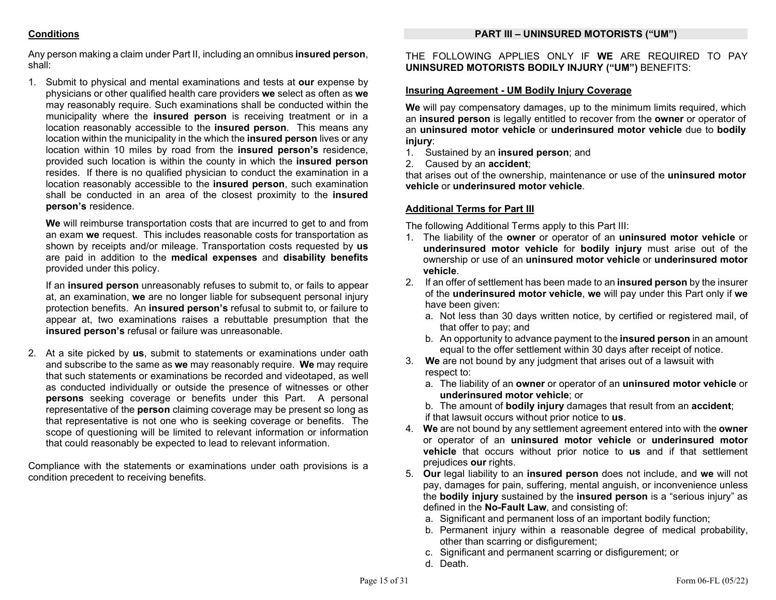### PART III – UNINSURED MOTORISTS ("UM")

## **Conditions**

Any person making a claim under Part II, including an omnibus insured person, shall:

1. Submit to physical and mental examinations and tests at our expense by physicians or other qualified health care providers we select as often as we may reasonably require. Such examinations shall be conducted within the municipality where the insured person is receiving treatment or in a location reasonably accessible to the insured person. This means any location within the municipality in the which the insured person lives or any location within 10 miles by road from the insured person's residence, provided such location is within the county in which the insured person resides. If there is no qualified physician to conduct the examination in a location reasonably accessible to the insured person, such examination shall be conducted in an area of the closest proximity to the insured person's residence.

We will reimburse transportation costs that are incurred to get to and from an exam we request. This includes reasonable costs for transportation as shown by receipts and/or mileage. Transportation costs requested by us are paid in addition to the medical expenses and disability benefits provided under this policy.

If an insured person unreasonably refuses to submit to, or fails to appear at, an examination, we are no longer liable for subsequent personal injury protection benefits. An insured person's refusal to submit to, or failure to appear at, two examinations raises a rebuttable presumption that the insured person's refusal or failure was unreasonable.

2. At a site picked by us, submit to statements or examinations under oath and subscribe to the same as we may reasonably require. We may require that such statements or examinations be recorded and videotaped, as well as conducted individually or outside the presence of witnesses or other persons seeking coverage or benefits under this Part. A personal representative of the person claiming coverage may be present so long as that representative is not one who is seeking coverage or benefits. The scope of questioning will be limited to relevant information or information that could reasonably be expected to lead to relevant information.

Compliance with the statements or examinations under oath provisions is a condition precedent to receiving benefits.

THE FOLLOWING APPLIES ONLY IF WE ARE REQUIRED TO PAY UNINSURED MOTORISTS BODILY INJURY ("UM") BENEFITS:

## Insuring Agreement - UM Bodily Injury Coverage

We will pay compensatory damages, up to the minimum limits required, which an insured person is legally entitled to recover from the owner or operator of an uninsured motor vehicle or underinsured motor vehicle due to bodily iniury:

- 1. Sustained by an insured person; and
- 2. Caused by an accident;

that arises out of the ownership, maintenance or use of the uninsured motor vehicle or underinsured motor vehicle.

## Additional Terms for Part III

The following Additional Terms apply to this Part III:

- 1. The liability of the owner or operator of an uninsured motor vehicle or underinsured motor vehicle for bodily injury must arise out of the ownership or use of an uninsured motor vehicle or underinsured motor vehicle.
- 2. If an offer of settlement has been made to an **insured person** by the insurer of the underinsured motor vehicle, we will pay under this Part only if we have been given:
	- a. Not less than 30 days written notice, by certified or registered mail, of that offer to pay; and
	- b. An opportunity to advance payment to the **insured person** in an amount equal to the offer settlement within 30 days after receipt of notice.
- 3. We are not bound by any judgment that arises out of a lawsuit with respect to:
	- a. The liability of an owner or operator of an uninsured motor vehicle or underinsured motor vehicle; or
	- b. The amount of **bodily injury** damages that result from an **accident**; if that lawsuit occurs without prior notice to us.
- 4. We are not bound by any settlement agreement entered into with the owner or operator of an uninsured motor vehicle or underinsured motor vehicle that occurs without prior notice to us and if that settlement prejudices our rights.
- 5. Our legal liability to an insured person does not include, and we will not pay, damages for pain, suffering, mental anguish, or inconvenience unless the **bodily injury** sustained by the **insured person** is a "serious injury" as defined in the No-Fault Law, and consisting of:
	- a. Significant and permanent loss of an important bodily function;
	- b. Permanent injury within a reasonable degree of medical probability, other than scarring or disfigurement;
	- c. Significant and permanent scarring or disfigurement; or
	- d. Death.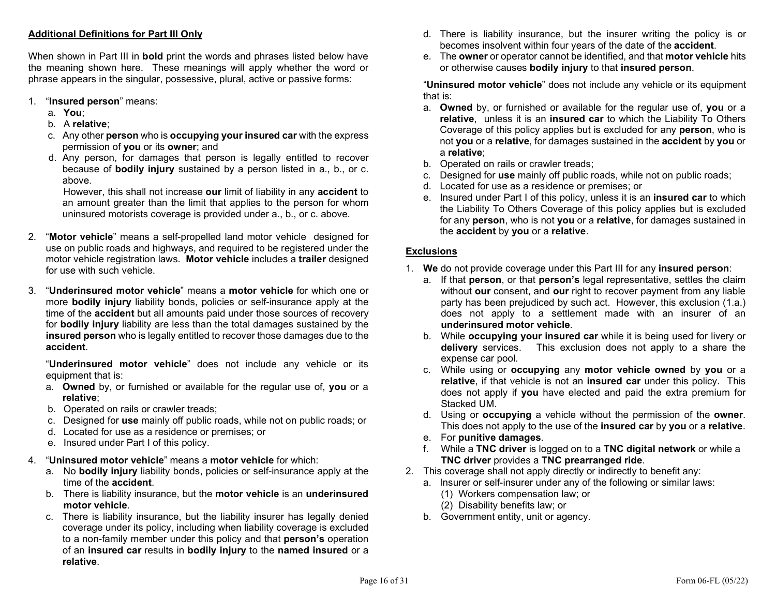## Additional Definitions for Part III Only

When shown in Part III in **bold** print the words and phrases listed below have the meaning shown here. These meanings will apply whether the word or phrase appears in the singular, possessive, plural, active or passive forms:

- 1. "Insured person" means:
	- a. You;
	- b. A relative;
	- c. Any other person who is occupying your insured car with the express permission of you or its owner; and
	- d. Any person, for damages that person is legally entitled to recover because of bodily injury sustained by a person listed in a., b., or c. above.

However, this shall not increase our limit of liability in any accident to an amount greater than the limit that applies to the person for whom uninsured motorists coverage is provided under a., b., or c. above.

- 2. "Motor vehicle" means a self-propelled land motor vehicle designed for use on public roads and highways, and required to be registered under the motor vehicle registration laws. Motor vehicle includes a trailer designed for use with such vehicle.
- 3. "Underinsured motor vehicle" means a motor vehicle for which one or more bodily injury liability bonds, policies or self-insurance apply at the time of the **accident** but all amounts paid under those sources of recovery for bodily injury liability are less than the total damages sustained by the insured person who is legally entitled to recover those damages due to the accident.

"Underinsured motor vehicle" does not include any vehicle or its equipment that is:

- a. Owned by, or furnished or available for the regular use of, you or a relative;
- b. Operated on rails or crawler treads;
- c. Designed for use mainly off public roads, while not on public roads; or
- d. Located for use as a residence or premises; or
- e. Insured under Part I of this policy.
- 4. "Uninsured motor vehicle" means a motor vehicle for which:
	- a. No bodily injury liability bonds, policies or self-insurance apply at the time of the accident.
	- b. There is liability insurance, but the motor vehicle is an underinsured motor vehicle.
	- c. There is liability insurance, but the liability insurer has legally denied coverage under its policy, including when liability coverage is excluded to a non-family member under this policy and that person's operation of an insured car results in bodily injury to the named insured or a relative.
- d. There is liability insurance, but the insurer writing the policy is or becomes insolvent within four years of the date of the accident.
- e. The owner or operator cannot be identified, and that motor vehicle hits or otherwise causes bodily injury to that insured person.

 "Uninsured motor vehicle" does not include any vehicle or its equipment that is:

- a. Owned by, or furnished or available for the regular use of, you or a relative, unless it is an insured car to which the Liability To Others Coverage of this policy applies but is excluded for any person, who is not you or a relative, for damages sustained in the accident by you or a relative;
- b. Operated on rails or crawler treads;
- c. Designed for use mainly off public roads, while not on public roads;
- d. Located for use as a residence or premises; or
- e. Insured under Part I of this policy, unless it is an insured car to which the Liability To Others Coverage of this policy applies but is excluded for any person, who is not you or a relative, for damages sustained in the accident by you or a relative.

### Exclusions

- 1. We do not provide coverage under this Part III for any insured person:
	- a. If that person, or that person's legal representative, settles the claim without our consent, and our right to recover payment from any liable party has been prejudiced by such act. However, this exclusion (1.a.) does not apply to a settlement made with an insurer of an underinsured motor vehicle.
	- b. While occupying your insured car while it is being used for livery or delivery services. This exclusion does not apply to a share the expense car pool.
	- c. While using or occupying any motor vehicle owned by you or a relative, if that vehicle is not an insured car under this policy. This does not apply if you have elected and paid the extra premium for Stacked UM.
	- d. Using or occupying a vehicle without the permission of the owner. This does not apply to the use of the insured car by you or a relative.
	- e. For punitive damages.
	- f. While a TNC driver is logged on to a TNC digital network or while a TNC driver provides a TNC prearranged ride.
- 2. This coverage shall not apply directly or indirectly to benefit any:
	- a. Insurer or self-insurer under any of the following or similar laws:
		- (1) Workers compensation law; or
		- (2) Disability benefits law; or
	- b. Government entity, unit or agency.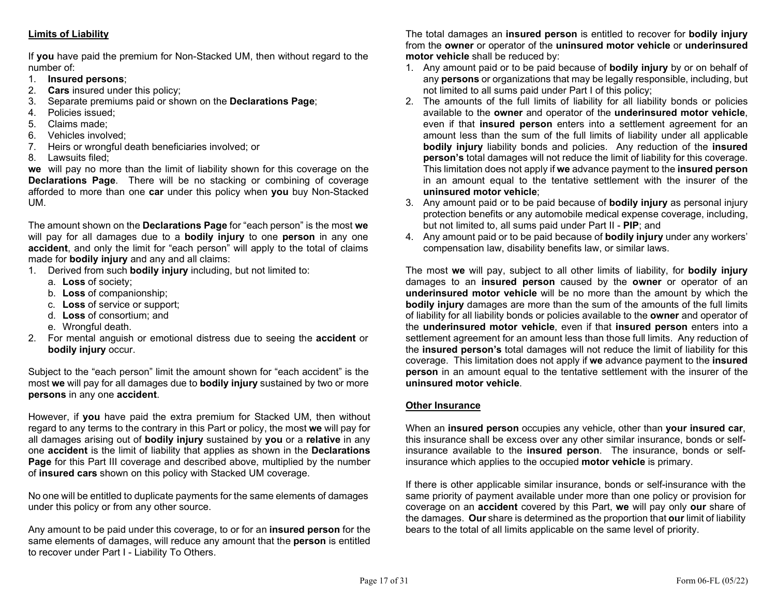## Limits of Liability

If you have paid the premium for Non-Stacked UM, then without regard to the number of:

- 1. Insured persons;
- 2. Cars insured under this policy;
- 3. Separate premiums paid or shown on the Declarations Page;
- 4. Policies issued;
- 5. Claims made;
- 6. Vehicles involved;
- 7. Heirs or wrongful death beneficiaries involved; or
- 8. Lawsuits filed;

we will pay no more than the limit of liability shown for this coverage on the Declarations Page. There will be no stacking or combining of coverage afforded to more than one car under this policy when you buy Non-Stacked UM.

The amount shown on the Declarations Page for "each person" is the most we will pay for all damages due to a **bodily injury** to one **person** in any one accident, and only the limit for "each person" will apply to the total of claims made for bodily injury and any and all claims:

- 1. Derived from such bodily injury including, but not limited to:
	- a. Loss of society;
	- b. Loss of companionship;
	- c. Loss of service or support;
	- d. Loss of consortium; and
	- e. Wrongful death.
- 2. For mental anguish or emotional distress due to seeing the **accident** or bodily injury occur.

Subject to the "each person" limit the amount shown for "each accident" is the most we will pay for all damages due to **bodily injury** sustained by two or more persons in any one accident.

However, if you have paid the extra premium for Stacked UM, then without regard to any terms to the contrary in this Part or policy, the most we will pay for all damages arising out of **bodily injury** sustained by you or a relative in any one accident is the limit of liability that applies as shown in the Declarations Page for this Part III coverage and described above, multiplied by the number of insured cars shown on this policy with Stacked UM coverage.

No one will be entitled to duplicate payments for the same elements of damages under this policy or from any other source.

Any amount to be paid under this coverage, to or for an **insured person** for the same elements of damages, will reduce any amount that the **person** is entitled to recover under Part I - Liability To Others.

The total damages an insured person is entitled to recover for bodily injury from the owner or operator of the uninsured motor vehicle or underinsured motor vehicle shall be reduced by:

- 1. Any amount paid or to be paid because of bodily injury by or on behalf of any persons or organizations that may be legally responsible, including, but not limited to all sums paid under Part I of this policy;
- 2. The amounts of the full limits of liability for all liability bonds or policies available to the owner and operator of the underinsured motor vehicle, even if that insured person enters into a settlement agreement for an amount less than the sum of the full limits of liability under all applicable bodily injury liability bonds and policies. Any reduction of the insured person's total damages will not reduce the limit of liability for this coverage. This limitation does not apply if we advance payment to the **insured person** in an amount equal to the tentative settlement with the insurer of the uninsured motor vehicle;
- 3. Any amount paid or to be paid because of bodily injury as personal injury protection benefits or any automobile medical expense coverage, including, but not limited to, all sums paid under Part II - PIP; and
- 4. Any amount paid or to be paid because of bodily injury under any workers' compensation law, disability benefits law, or similar laws.

The most we will pay, subject to all other limits of liability, for **bodily injury** damages to an **insured person** caused by the **owner** or operator of an underinsured motor vehicle will be no more than the amount by which the bodily injury damages are more than the sum of the amounts of the full limits of liability for all liability bonds or policies available to the owner and operator of the underinsured motor vehicle, even if that insured person enters into a settlement agreement for an amount less than those full limits. Any reduction of the insured person's total damages will not reduce the limit of liability for this coverage. This limitation does not apply if we advance payment to the insured person in an amount equal to the tentative settlement with the insurer of the uninsured motor vehicle.

### Other Insurance

When an **insured person** occupies any vehicle, other than your insured car, this insurance shall be excess over any other similar insurance, bonds or selfinsurance available to the insured person. The insurance, bonds or selfinsurance which applies to the occupied **motor vehicle** is primary.

If there is other applicable similar insurance, bonds or self-insurance with the same priority of payment available under more than one policy or provision for coverage on an accident covered by this Part, we will pay only our share of the damages. Our share is determined as the proportion that our limit of liability bears to the total of all limits applicable on the same level of priority.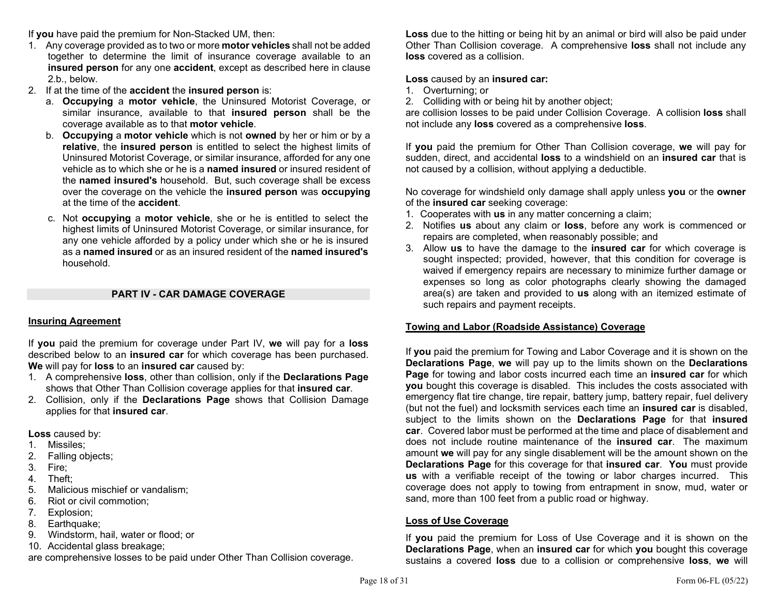If you have paid the premium for Non-Stacked UM, then:

- 1. Any coverage provided as to two or more **motor vehicles** shall not be added together to determine the limit of insurance coverage available to an insured person for any one accident, except as described here in clause 2.b., below.
- 2. If at the time of the accident the insured person is:
	- a. Occupying a motor vehicle, the Uninsured Motorist Coverage, or similar insurance, available to that insured person shall be the coverage available as to that motor vehicle.
	- b. Occupying a motor vehicle which is not owned by her or him or by a relative, the insured person is entitled to select the highest limits of Uninsured Motorist Coverage, or similar insurance, afforded for any one vehicle as to which she or he is a named insured or insured resident of the named insured's household. But, such coverage shall be excess over the coverage on the vehicle the insured person was occupying at the time of the accident.
	- c. Not occupying a motor vehicle, she or he is entitled to select the highest limits of Uninsured Motorist Coverage, or similar insurance, for any one vehicle afforded by a policy under which she or he is insured as a named insured or as an insured resident of the named insured's household.

## PART IV - CAR DAMAGE COVERAGE

### Insuring Agreement

If you paid the premium for coverage under Part IV, we will pay for a loss described below to an **insured car** for which coverage has been purchased. We will pay for **loss** to an **insured car** caused by:

- 1. A comprehensive loss, other than collision, only if the Declarations Page shows that Other Than Collision coverage applies for that insured car.
- 2. Collision, only if the Declarations Page shows that Collision Damage applies for that insured car.

Loss caused by:

- 1. Missiles;
- 2. Falling objects;
- 3. Fire;
- 4. Theft;
- 5. Malicious mischief or vandalism;
- 6. Riot or civil commotion;
- 7. Explosion;
- 8. Earthquake;
- 9. Windstorm, hail, water or flood; or
- 10. Accidental glass breakage;

are comprehensive losses to be paid under Other Than Collision coverage.

Loss due to the hitting or being hit by an animal or bird will also be paid under Other Than Collision coverage. A comprehensive loss shall not include any loss covered as a collision.

## Loss caused by an insured car:

- 1. Overturning; or
- 2. Colliding with or being hit by another object;

are collision losses to be paid under Collision Coverage. A collision loss shall not include any loss covered as a comprehensive loss.

If you paid the premium for Other Than Collision coverage, we will pay for sudden, direct, and accidental loss to a windshield on an insured car that is not caused by a collision, without applying a deductible.

No coverage for windshield only damage shall apply unless you or the owner of the insured car seeking coverage:

- 1. Cooperates with us in any matter concerning a claim;
- 2. Notifies us about any claim or loss, before any work is commenced or repairs are completed, when reasonably possible; and
- 3. Allow us to have the damage to the insured car for which coverage is sought inspected; provided, however, that this condition for coverage is waived if emergency repairs are necessary to minimize further damage or expenses so long as color photographs clearly showing the damaged area(s) are taken and provided to us along with an itemized estimate of such repairs and payment receipts.

## Towing and Labor (Roadside Assistance) Coverage

If you paid the premium for Towing and Labor Coverage and it is shown on the Declarations Page, we will pay up to the limits shown on the Declarations Page for towing and labor costs incurred each time an insured car for which you bought this coverage is disabled. This includes the costs associated with emergency flat tire change, tire repair, battery jump, battery repair, fuel delivery (but not the fuel) and locksmith services each time an insured car is disabled, subject to the limits shown on the **Declarations Page** for that insured car. Covered labor must be performed at the time and place of disablement and does not include routine maintenance of the insured car. The maximum amount we will pay for any single disablement will be the amount shown on the Declarations Page for this coverage for that insured car. You must provide us with a verifiable receipt of the towing or labor charges incurred. This coverage does not apply to towing from entrapment in snow, mud, water or sand, more than 100 feet from a public road or highway.

## Loss of Use Coverage

If you paid the premium for Loss of Use Coverage and it is shown on the Declarations Page, when an insured car for which you bought this coverage sustains a covered loss due to a collision or comprehensive loss, we will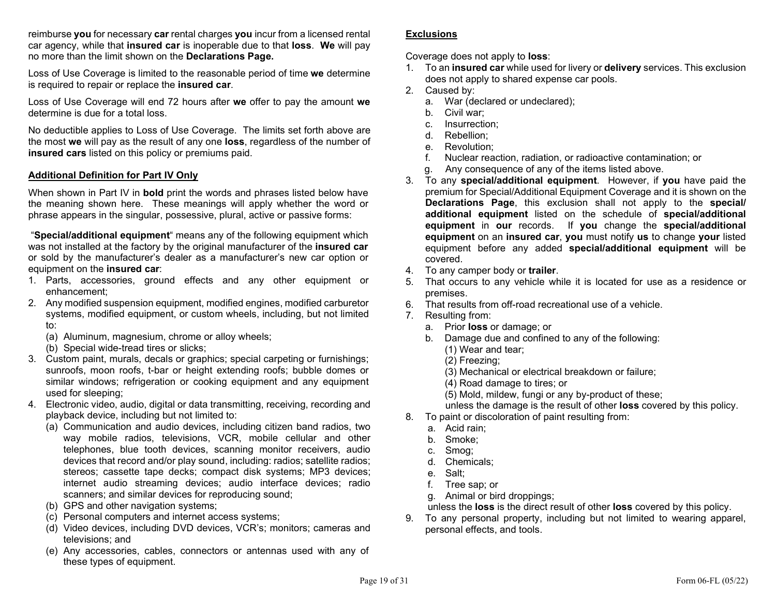reimburse you for necessary car rental charges you incur from a licensed rental car agency, while that insured car is inoperable due to that loss. We will pay no more than the limit shown on the Declarations Page.

Loss of Use Coverage is limited to the reasonable period of time we determine is required to repair or replace the insured car.

Loss of Use Coverage will end 72 hours after we offer to pay the amount we determine is due for a total loss.

No deductible applies to Loss of Use Coverage. The limits set forth above are the most we will pay as the result of any one loss, regardless of the number of insured cars listed on this policy or premiums paid.

### Additional Definition for Part IV Only

When shown in Part IV in **bold** print the words and phrases listed below have the meaning shown here. These meanings will apply whether the word or phrase appears in the singular, possessive, plural, active or passive forms:

 "Special/additional equipment" means any of the following equipment which was not installed at the factory by the original manufacturer of the insured car or sold by the manufacturer's dealer as a manufacturer's new car option or equipment on the insured car:

- 1. Parts, accessories, ground effects and any other equipment or enhancement;
- 2. Any modified suspension equipment, modified engines, modified carburetor systems, modified equipment, or custom wheels, including, but not limited to:
	- (a) Aluminum, magnesium, chrome or alloy wheels;
	- (b) Special wide-tread tires or slicks;
- 3. Custom paint, murals, decals or graphics; special carpeting or furnishings; sunroofs, moon roofs, t-bar or height extending roofs; bubble domes or similar windows; refrigeration or cooking equipment and any equipment used for sleeping;
- 4. Electronic video, audio, digital or data transmitting, receiving, recording and playback device, including but not limited to:
	- (a) Communication and audio devices, including citizen band radios, two way mobile radios, televisions, VCR, mobile cellular and other telephones, blue tooth devices, scanning monitor receivers, audio devices that record and/or play sound, including: radios; satellite radios; stereos; cassette tape decks; compact disk systems; MP3 devices; internet audio streaming devices; audio interface devices; radio scanners; and similar devices for reproducing sound;
	- (b) GPS and other navigation systems;
	- (c) Personal computers and internet access systems;
	- (d) Video devices, including DVD devices, VCR's; monitors; cameras and televisions; and
	- (e) Any accessories, cables, connectors or antennas used with any of these types of equipment.

### **Exclusions**

Coverage does not apply to loss:

- 1. To an insured car while used for livery or delivery services. This exclusion does not apply to shared expense car pools.
- 2. Caused by:
	- a. War (declared or undeclared);
	- b. Civil war;
	- c. Insurrection;
	- d. Rebellion;
	- e. Revolution;
	- f. Nuclear reaction, radiation, or radioactive contamination; or
	- g. Any consequence of any of the items listed above.
- 3. To any special/additional equipment. However, if you have paid the premium for Special/Additional Equipment Coverage and it is shown on the Declarations Page, this exclusion shall not apply to the special/ additional equipment listed on the schedule of special/additional equipment in our records. If you change the special/additional equipment on an insured car, you must notify us to change your listed equipment before any added special/additional equipment will be covered.
- 4. To any camper body or trailer.
- 5. That occurs to any vehicle while it is located for use as a residence or premises.
- 6. That results from off-road recreational use of a vehicle.
- 7. Resulting from:
	- a. Prior loss or damage; or
	- b. Damage due and confined to any of the following:
		- (1) Wear and tear;
		- (2) Freezing;
		- (3) Mechanical or electrical breakdown or failure;
		- (4) Road damage to tires; or
		- (5) Mold, mildew, fungi or any by-product of these;
		- unless the damage is the result of other loss covered by this policy.
- 8. To paint or discoloration of paint resulting from:
	- a. Acid rain;
	- b. Smoke;
	- c. Smog;
	- d. Chemicals;
	- e. Salt;
	- f. Tree sap; or
	- g. Animal or bird droppings;
	- unless the loss is the direct result of other loss covered by this policy.
- 9. To any personal property, including but not limited to wearing apparel, personal effects, and tools.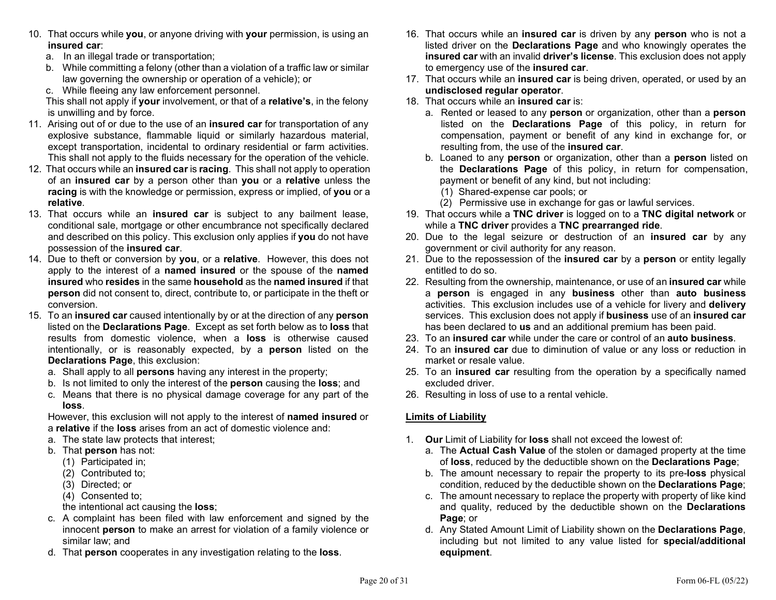- 10. That occurs while you, or anyone driving with your permission, is using an insured car:
	- a. In an illegal trade or transportation;
	- b. While committing a felony (other than a violation of a traffic law or similar law governing the ownership or operation of a vehicle); or
	- c. While fleeing any law enforcement personnel.

This shall not apply if your involvement, or that of a relative's, in the felony is unwilling and by force.

- 11. Arising out of or due to the use of an **insured car** for transportation of any explosive substance, flammable liquid or similarly hazardous material, except transportation, incidental to ordinary residential or farm activities. This shall not apply to the fluids necessary for the operation of the vehicle.
- 12. That occurs while an **insured car** is **racing**. This shall not apply to operation of an insured car by a person other than you or a relative unless the racing is with the knowledge or permission, express or implied, of you or a relative.
- 13. That occurs while an **insured car** is subject to any bailment lease, conditional sale, mortgage or other encumbrance not specifically declared and described on this policy. This exclusion only applies if you do not have possession of the insured car.
- 14. Due to theft or conversion by you, or a relative. However, this does not apply to the interest of a **named insured** or the spouse of the **named** insured who resides in the same household as the named insured if that person did not consent to, direct, contribute to, or participate in the theft or conversion.
- 15. To an **insured car** caused intentionally by or at the direction of any **person** listed on the Declarations Page. Except as set forth below as to loss that results from domestic violence, when a loss is otherwise caused intentionally, or is reasonably expected, by a person listed on the Declarations Page, this exclusion:
	- a. Shall apply to all **persons** having any interest in the property;
	- b. Is not limited to only the interest of the **person** causing the **loss**; and
	- c. Means that there is no physical damage coverage for any part of the loss.

 However, this exclusion will not apply to the interest of named insured or a relative if the loss arises from an act of domestic violence and:

- a. The state law protects that interest;
- b. That person has not:
	- (1) Participated in;
	- (2) Contributed to;
	- (3) Directed; or
	- (4) Consented to;
	- the intentional act causing the loss;
- c. A complaint has been filed with law enforcement and signed by the innocent person to make an arrest for violation of a family violence or similar law; and
- d. That person cooperates in any investigation relating to the loss.
- 16. That occurs while an **insured car** is driven by any **person** who is not a listed driver on the **Declarations Page** and who knowingly operates the insured car with an invalid driver's license. This exclusion does not apply to emergency use of the insured car.
- 17. That occurs while an insured car is being driven, operated, or used by an undisclosed regular operator.
- 18. That occurs while an **insured car** is:
	- a. Rented or leased to any person or organization, other than a person listed on the Declarations Page of this policy, in return for compensation, payment or benefit of any kind in exchange for, or resulting from, the use of the insured car.
	- b. Loaned to any **person** or organization, other than a **person** listed on the Declarations Page of this policy, in return for compensation, payment or benefit of any kind, but not including:
		- (1) Shared-expense car pools; or
		- (2) Permissive use in exchange for gas or lawful services.
- 19. That occurs while a TNC driver is logged on to a TNC digital network or while a TNC driver provides a TNC prearranged ride.
- 20. Due to the legal seizure or destruction of an **insured car** by any government or civil authority for any reason.
- 21. Due to the repossession of the insured car by a person or entity legally entitled to do so.
- 22. Resulting from the ownership, maintenance, or use of an **insured car** while a person is engaged in any business other than auto business activities. This exclusion includes use of a vehicle for livery and delivery services. This exclusion does not apply if business use of an insured car has been declared to **us** and an additional premium has been paid.
- 23. To an insured car while under the care or control of an auto business.
- 24. To an insured car due to diminution of value or any loss or reduction in market or resale value.
- 25. To an **insured car** resulting from the operation by a specifically named excluded driver.
- 26. Resulting in loss of use to a rental vehicle.

## Limits of Liability

- 1. Our Limit of Liability for loss shall not exceed the lowest of:
	- a. The Actual Cash Value of the stolen or damaged property at the time of loss, reduced by the deductible shown on the Declarations Page;
	- b. The amount necessary to repair the property to its pre-loss physical condition, reduced by the deductible shown on the Declarations Page;
	- c. The amount necessary to replace the property with property of like kind and quality, reduced by the deductible shown on the Declarations Page: or
	- d. Any Stated Amount Limit of Liability shown on the Declarations Page, including but not limited to any value listed for special/additional equipment.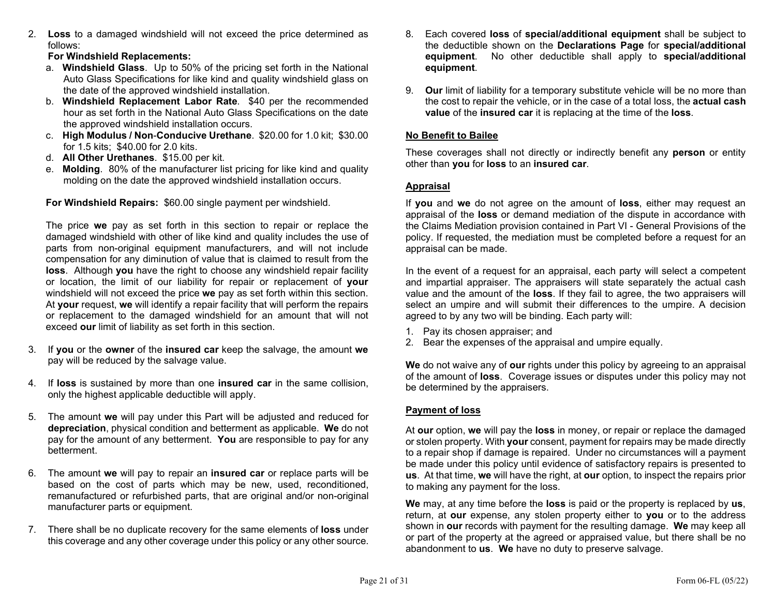2. Loss to a damaged windshield will not exceed the price determined as follows:

For Windshield Replacements:

- a. Windshield Glass. Up to 50% of the pricing set forth in the National Auto Glass Specifications for like kind and quality windshield glass on the date of the approved windshield installation.
- b. Windshield Replacement Labor Rate. \$40 per the recommended hour as set forth in the National Auto Glass Specifications on the date the approved windshield installation occurs.
- c. High Modulus / Non-Conducive Urethane. \$20.00 for 1.0 kit; \$30.00 for 1.5 kits; \$40.00 for 2.0 kits.
- d. All Other Urethanes. \$15.00 per kit.
- e. Molding. 80% of the manufacturer list pricing for like kind and quality molding on the date the approved windshield installation occurs.

For Windshield Repairs: \$60.00 single payment per windshield.

The price we pay as set forth in this section to repair or replace the damaged windshield with other of like kind and quality includes the use of parts from non-original equipment manufacturers, and will not include compensation for any diminution of value that is claimed to result from the **loss**. Although you have the right to choose any windshield repair facility or location, the limit of our liability for repair or replacement of your windshield will not exceed the price we pay as set forth within this section. At your request, we will identify a repair facility that will perform the repairs or replacement to the damaged windshield for an amount that will not exceed our limit of liability as set forth in this section.

- 3. If you or the owner of the insured car keep the salvage, the amount we pay will be reduced by the salvage value.
- 4. If loss is sustained by more than one insured car in the same collision, only the highest applicable deductible will apply.
- 5. The amount we will pay under this Part will be adjusted and reduced for depreciation, physical condition and betterment as applicable. We do not pay for the amount of any betterment. You are responsible to pay for any betterment.
- 6. The amount we will pay to repair an insured car or replace parts will be based on the cost of parts which may be new, used, reconditioned, remanufactured or refurbished parts, that are original and/or non-original manufacturer parts or equipment.
- 7. There shall be no duplicate recovery for the same elements of **loss** under this coverage and any other coverage under this policy or any other source.
- 8. Each covered loss of special/additional equipment shall be subject to the deductible shown on the Declarations Page for special/additional equipment. No other deductible shall apply to special/additional equipment.
- 9. Our limit of liability for a temporary substitute vehicle will be no more than the cost to repair the vehicle, or in the case of a total loss, the **actual cash** value of the insured car it is replacing at the time of the loss.

## No Benefit to Bailee

These coverages shall not directly or indirectly benefit any **person** or entity other than you for loss to an insured car.

## Appraisal

If you and we do not agree on the amount of loss, either may request an appraisal of the loss or demand mediation of the dispute in accordance with the Claims Mediation provision contained in Part VI - General Provisions of the policy. If requested, the mediation must be completed before a request for an appraisal can be made.

In the event of a request for an appraisal, each party will select a competent and impartial appraiser. The appraisers will state separately the actual cash value and the amount of the loss. If they fail to agree, the two appraisers will select an umpire and will submit their differences to the umpire. A decision agreed to by any two will be binding. Each party will:

- 1. Pay its chosen appraiser; and
- 2. Bear the expenses of the appraisal and umpire equally.

We do not waive any of our rights under this policy by agreeing to an appraisal of the amount of loss. Coverage issues or disputes under this policy may not be determined by the appraisers.

## Payment of loss

At our option, we will pay the loss in money, or repair or replace the damaged or stolen property. With your consent, payment for repairs may be made directly to a repair shop if damage is repaired. Under no circumstances will a payment be made under this policy until evidence of satisfactory repairs is presented to us. At that time, we will have the right, at our option, to inspect the repairs prior to making any payment for the loss.

We may, at any time before the **loss** is paid or the property is replaced by us, return, at our expense, any stolen property either to you or to the address shown in our records with payment for the resulting damage. We may keep all or part of the property at the agreed or appraised value, but there shall be no abandonment to us. We have no duty to preserve salvage.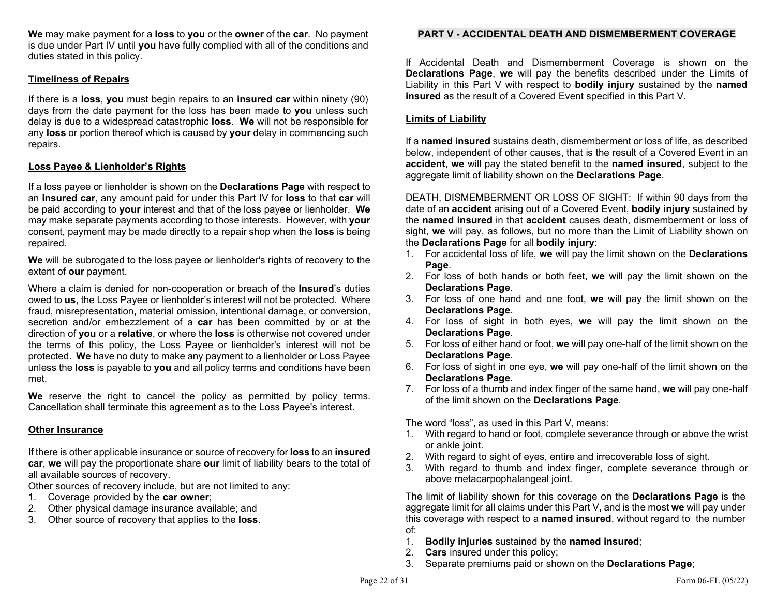We may make payment for a loss to you or the owner of the car. No payment is due under Part IV until you have fully complied with all of the conditions and duties stated in this policy.

### Timeliness of Repairs

If there is a loss, you must begin repairs to an insured car within ninety (90) days from the date payment for the loss has been made to you unless such delay is due to a widespread catastrophic loss. We will not be responsible for any loss or portion thereof which is caused by your delay in commencing such repairs.

### Loss Payee & Lienholder's Rights

If a loss payee or lienholder is shown on the **Declarations Page** with respect to an insured car, any amount paid for under this Part IV for loss to that car will be paid according to your interest and that of the loss payee or lienholder. We may make separate payments according to those interests. However, with your consent, payment may be made directly to a repair shop when the loss is being repaired.

We will be subrogated to the loss payee or lienholder's rights of recovery to the extent of **our** payment.

Where a claim is denied for non-cooperation or breach of the **Insured**'s duties owed to us, the Loss Payee or lienholder's interest will not be protected. Where fraud, misrepresentation, material omission, intentional damage, or conversion, secretion and/or embezzlement of a car has been committed by or at the direction of you or a relative, or where the loss is otherwise not covered under the terms of this policy, the Loss Payee or lienholder's interest will not be protected. We have no duty to make any payment to a lienholder or Loss Payee unless the loss is payable to you and all policy terms and conditions have been met.

We reserve the right to cancel the policy as permitted by policy terms. Cancellation shall terminate this agreement as to the Loss Payee's interest.

### Other Insurance

If there is other applicable insurance or source of recovery for **loss** to an **insured** car, we will pay the proportionate share our limit of liability bears to the total of all available sources of recovery.

Other sources of recovery include, but are not limited to any:

- 1. Coverage provided by the car owner;
- 2. Other physical damage insurance available; and
- 3. Other source of recovery that applies to the loss.

### PART V - ACCIDENTAL DEATH AND DISMEMBERMENT COVERAGE

If Accidental Death and Dismemberment Coverage is shown on the Declarations Page, we will pay the benefits described under the Limits of Liability in this Part V with respect to bodily injury sustained by the named insured as the result of a Covered Event specified in this Part V.

### Limits of Liability

If a named insured sustains death, dismemberment or loss of life, as described below, independent of other causes, that is the result of a Covered Event in an accident, we will pay the stated benefit to the named insured, subject to the aggregate limit of liability shown on the **Declarations Page**.

DEATH, DISMEMBERMENT OR LOSS OF SIGHT: If within 90 days from the date of an **accident** arising out of a Covered Event, **bodily injury** sustained by the named insured in that accident causes death, dismemberment or loss of sight, we will pay, as follows, but no more than the Limit of Liability shown on the Declarations Page for all bodily injury:

- 1. For accidental loss of life, we will pay the limit shown on the Declarations Page.
- 2. For loss of both hands or both feet, we will pay the limit shown on the Declarations Page.
- 3. For loss of one hand and one foot, we will pay the limit shown on the Declarations Page.
- 4. For loss of sight in both eyes, we will pay the limit shown on the Declarations Page.
- 5. For loss of either hand or foot, we will pay one-half of the limit shown on the Declarations Page.
- 6. For loss of sight in one eye, we will pay one-half of the limit shown on the Declarations Page.
- 7. For loss of a thumb and index finger of the same hand, we will pay one-half of the limit shown on the Declarations Page.

The word "loss", as used in this Part V, means:

- 1. With regard to hand or foot, complete severance through or above the wrist or ankle joint.
- 2. With regard to sight of eyes, entire and irrecoverable loss of sight.
- 3. With regard to thumb and index finger, complete severance through or above metacarpophalangeal joint.

The limit of liability shown for this coverage on the **Declarations Page** is the aggregate limit for all claims under this Part V, and is the most we will pay under this coverage with respect to a **named insured**, without regard to the number of:

- 1. Bodily injuries sustained by the named insured;
- 2. Cars insured under this policy;
- 3. Separate premiums paid or shown on the Declarations Page;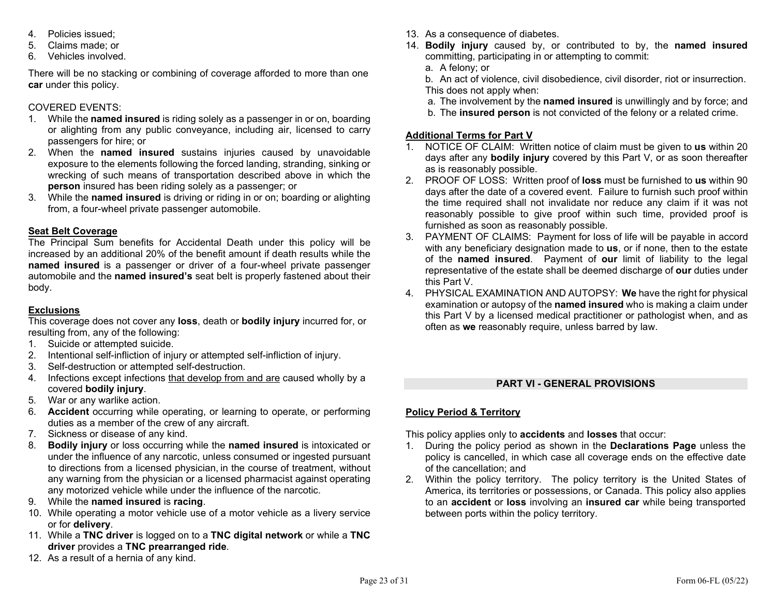- 4. Policies issued;
- 5. Claims made; or
- 6. Vehicles involved.

There will be no stacking or combining of coverage afforded to more than one car under this policy.

## COVERED EVENTS:

- 1. While the **named insured** is riding solely as a passenger in or on, boarding or alighting from any public conveyance, including air, licensed to carry passengers for hire; or
- 2. When the **named insured** sustains injuries caused by unavoidable exposure to the elements following the forced landing, stranding, sinking or wrecking of such means of transportation described above in which the person insured has been riding solely as a passenger; or
- 3. While the named insured is driving or riding in or on; boarding or alighting from, a four-wheel private passenger automobile.

## Seat Belt Coverage

The Principal Sum benefits for Accidental Death under this policy will be increased by an additional 20% of the benefit amount if death results while the named insured is a passenger or driver of a four-wheel private passenger automobile and the named insured's seat belt is properly fastened about their body.

## **Exclusions**

This coverage does not cover any loss, death or bodily injury incurred for, or resulting from, any of the following:

- 1. Suicide or attempted suicide.
- 2. Intentional self-infliction of injury or attempted self-infliction of injury.
- 3. Self-destruction or attempted self-destruction.
- 4. Infections except infections that develop from and are caused wholly by a covered bodily injury.
- 5. War or any warlike action.
- 6. Accident occurring while operating, or learning to operate, or performing duties as a member of the crew of any aircraft.
- 7. Sickness or disease of any kind.
- 8. Bodily injury or loss occurring while the named insured is intoxicated or under the influence of any narcotic, unless consumed or ingested pursuant to directions from a licensed physician, in the course of treatment, without any warning from the physician or a licensed pharmacist against operating any motorized vehicle while under the influence of the narcotic.
- 9. While the named insured is racing.
- 10. While operating a motor vehicle use of a motor vehicle as a livery service or for delivery.
- 11. While a TNC driver is logged on to a TNC digital network or while a TNC driver provides a TNC prearranged ride.
- 12. As a result of a hernia of any kind.
- 13. As a consequence of diabetes.
- 14. Bodily injury caused by, or contributed to by, the named insured committing, participating in or attempting to commit:
	- a. A felony; or
	- b. An act of violence, civil disobedience, civil disorder, riot or insurrection. This does not apply when:
	- a. The involvement by the named insured is unwillingly and by force; and
	- b. The insured person is not convicted of the felony or a related crime.

## Additional Terms for Part V

- 1. NOTICE OF CLAIM: Written notice of claim must be given to us within 20 days after any **bodily injury** covered by this Part V, or as soon thereafter as is reasonably possible.
- 2. PROOF OF LOSS: Written proof of loss must be furnished to us within 90 days after the date of a covered event. Failure to furnish such proof within the time required shall not invalidate nor reduce any claim if it was not reasonably possible to give proof within such time, provided proof is furnished as soon as reasonably possible.
- 3. PAYMENT OF CLAIMS: Payment for loss of life will be payable in accord with any beneficiary designation made to us, or if none, then to the estate of the named insured. Payment of our limit of liability to the legal representative of the estate shall be deemed discharge of our duties under this Part V.
- 4. PHYSICAL EXAMINATION AND AUTOPSY: We have the right for physical examination or autopsy of the **named insured** who is making a claim under this Part V by a licensed medical practitioner or pathologist when, and as often as we reasonably require, unless barred by law.

## PART VI - GENERAL PROVISIONS

## Policy Period & Territory

This policy applies only to **accidents** and **losses** that occur:

- 1. During the policy period as shown in the Declarations Page unless the policy is cancelled, in which case all coverage ends on the effective date of the cancellation; and
- 2. Within the policy territory. The policy territory is the United States of America, its territories or possessions, or Canada. This policy also applies to an accident or loss involving an insured car while being transported between ports within the policy territory.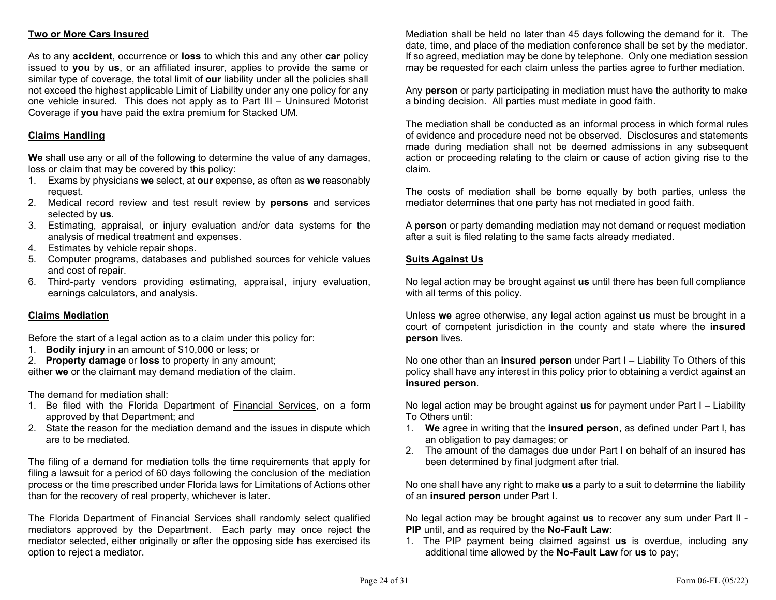## Two or More Cars Insured

As to any **accident**, occurrence or **loss** to which this and any other **car** policy issued to you by us, or an affiliated insurer, applies to provide the same or similar type of coverage, the total limit of our liability under all the policies shall not exceed the highest applicable Limit of Liability under any one policy for any one vehicle insured. This does not apply as to Part III – Uninsured Motorist Coverage if you have paid the extra premium for Stacked UM.

### Claims Handling

We shall use any or all of the following to determine the value of any damages, loss or claim that may be covered by this policy:

- 1. Exams by physicians we select, at our expense, as often as we reasonably request.
- 2. Medical record review and test result review by persons and services selected by us.
- 3. Estimating, appraisal, or injury evaluation and/or data systems for the analysis of medical treatment and expenses.
- 4. Estimates by vehicle repair shops.
- 5. Computer programs, databases and published sources for vehicle values and cost of repair.
- 6. Third-party vendors providing estimating, appraisal, injury evaluation, earnings calculators, and analysis.

### Claims Mediation

Before the start of a legal action as to a claim under this policy for:

1. Bodily injury in an amount of \$10,000 or less; or

2. Property damage or loss to property in any amount; either we or the claimant may demand mediation of the claim.

The demand for mediation shall:

- 1. Be filed with the Florida Department of Financial Services, on a form approved by that Department; and
- 2. State the reason for the mediation demand and the issues in dispute which are to be mediated.

The filing of a demand for mediation tolls the time requirements that apply for filing a lawsuit for a period of 60 days following the conclusion of the mediation process or the time prescribed under Florida laws for Limitations of Actions other than for the recovery of real property, whichever is later.

The Florida Department of Financial Services shall randomly select qualified mediators approved by the Department. Each party may once reject the mediator selected, either originally or after the opposing side has exercised its option to reject a mediator.

Mediation shall be held no later than 45 days following the demand for it. The date, time, and place of the mediation conference shall be set by the mediator. If so agreed, mediation may be done by telephone. Only one mediation session may be requested for each claim unless the parties agree to further mediation.

Any **person** or party participating in mediation must have the authority to make a binding decision. All parties must mediate in good faith.

The mediation shall be conducted as an informal process in which formal rules of evidence and procedure need not be observed. Disclosures and statements made during mediation shall not be deemed admissions in any subsequent action or proceeding relating to the claim or cause of action giving rise to the claim.

The costs of mediation shall be borne equally by both parties, unless the mediator determines that one party has not mediated in good faith.

A person or party demanding mediation may not demand or request mediation after a suit is filed relating to the same facts already mediated.

### Suits Against Us

No legal action may be brought against us until there has been full compliance with all terms of this policy.

Unless we agree otherwise, any legal action against us must be brought in a court of competent jurisdiction in the county and state where the insured person lives.

No one other than an **insured person** under Part  $I -$  Liability To Others of this policy shall have any interest in this policy prior to obtaining a verdict against an insured person.

No legal action may be brought against **us** for payment under Part  $I -$  Liability To Others until:

- 1. We agree in writing that the insured person, as defined under Part I, has an obligation to pay damages; or
- 2. The amount of the damages due under Part I on behalf of an insured has been determined by final judgment after trial.

No one shall have any right to make us a party to a suit to determine the liability of an insured person under Part I.

No legal action may be brought against **us** to recover any sum under Part II -PIP until, and as required by the No-Fault Law:

1. The PIP payment being claimed against us is overdue, including any additional time allowed by the No-Fault Law for us to pay;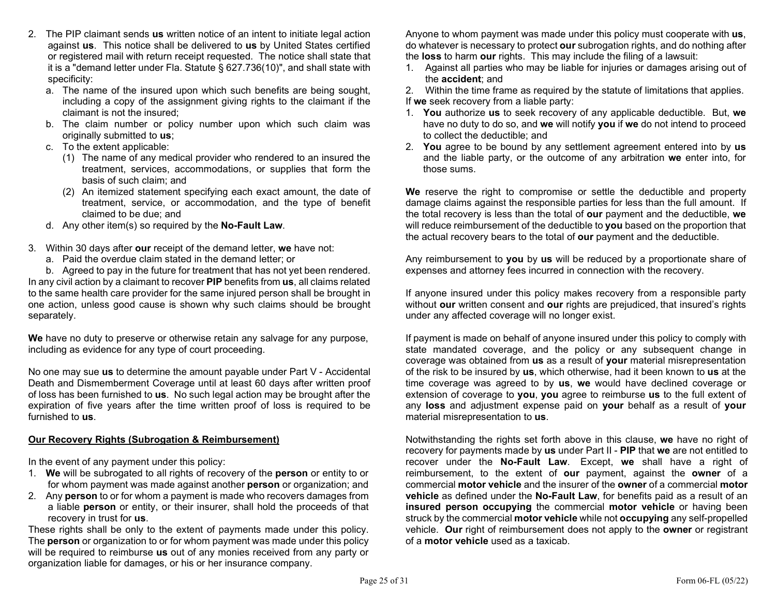- 2. The PIP claimant sends us written notice of an intent to initiate legal action against us. This notice shall be delivered to us by United States certified or registered mail with return receipt requested. The notice shall state that it is a "demand letter under Fla. Statute § 627.736(10)", and shall state with specificity:
	- a. The name of the insured upon which such benefits are being sought, including a copy of the assignment giving rights to the claimant if the claimant is not the insured;
	- b. The claim number or policy number upon which such claim was originally submitted to us;
	- c. To the extent applicable:
		- (1) The name of any medical provider who rendered to an insured the treatment, services, accommodations, or supplies that form the basis of such claim; and
		- (2) An itemized statement specifying each exact amount, the date of treatment, service, or accommodation, and the type of benefit claimed to be due; and
	- d. Any other item(s) so required by the No-Fault Law.
- 3. Within 30 days after our receipt of the demand letter, we have not:
	- a. Paid the overdue claim stated in the demand letter; or

 b. Agreed to pay in the future for treatment that has not yet been rendered. In any civil action by a claimant to recover PIP benefits from us, all claims related to the same health care provider for the same injured person shall be brought in one action, unless good cause is shown why such claims should be brought separately.

We have no duty to preserve or otherwise retain any salvage for any purpose, including as evidence for any type of court proceeding.

No one may sue us to determine the amount payable under Part V - Accidental Death and Dismemberment Coverage until at least 60 days after written proof of loss has been furnished to **us**. No such legal action may be brought after the expiration of five years after the time written proof of loss is required to be furnished to us.

## Our Recovery Rights (Subrogation & Reimbursement)

In the event of any payment under this policy:

- 1. We will be subrogated to all rights of recovery of the person or entity to or for whom payment was made against another **person** or organization; and
- 2. Any **person** to or for whom a payment is made who recovers damages from a liable person or entity, or their insurer, shall hold the proceeds of that recovery in trust for us.

These rights shall be only to the extent of payments made under this policy. The **person** or organization to or for whom payment was made under this policy will be required to reimburse us out of any monies received from any party or organization liable for damages, or his or her insurance company.

Anyone to whom payment was made under this policy must cooperate with us, do whatever is necessary to protect our subrogation rights, and do nothing after the loss to harm our rights. This may include the filing of a lawsuit:

1. Against all parties who may be liable for injuries or damages arising out of the accident; and

2. Within the time frame as required by the statute of limitations that applies. If we seek recovery from a liable party:

- 1. You authorize us to seek recovery of any applicable deductible. But, we have no duty to do so, and we will notify you if we do not intend to proceed to collect the deductible; and
- 2. You agree to be bound by any settlement agreement entered into by us and the liable party, or the outcome of any arbitration we enter into, for those sums.

We reserve the right to compromise or settle the deductible and property damage claims against the responsible parties for less than the full amount. If the total recovery is less than the total of our payment and the deductible, we will reduce reimbursement of the deductible to you based on the proportion that the actual recovery bears to the total of our payment and the deductible.

Any reimbursement to you by us will be reduced by a proportionate share of expenses and attorney fees incurred in connection with the recovery.

If anyone insured under this policy makes recovery from a responsible party without our written consent and our rights are prejudiced, that insured's rights under any affected coverage will no longer exist.

If payment is made on behalf of anyone insured under this policy to comply with state mandated coverage, and the policy or any subsequent change in coverage was obtained from us as a result of your material misrepresentation of the risk to be insured by us, which otherwise, had it been known to us at the time coverage was agreed to by us, we would have declined coverage or extension of coverage to you, you agree to reimburse us to the full extent of any loss and adjustment expense paid on your behalf as a result of your material misrepresentation to us.

Notwithstanding the rights set forth above in this clause, we have no right of recovery for payments made by us under Part II - PIP that we are not entitled to recover under the No-Fault Law. Except, we shall have a right of reimbursement, to the extent of **our** payment, against the **owner** of a commercial motor vehicle and the insurer of the owner of a commercial motor vehicle as defined under the No-Fault Law, for benefits paid as a result of an insured person occupying the commercial motor vehicle or having been struck by the commercial motor vehicle while not occupying any self-propelled vehicle. Our right of reimbursement does not apply to the owner or registrant of a motor vehicle used as a taxicab.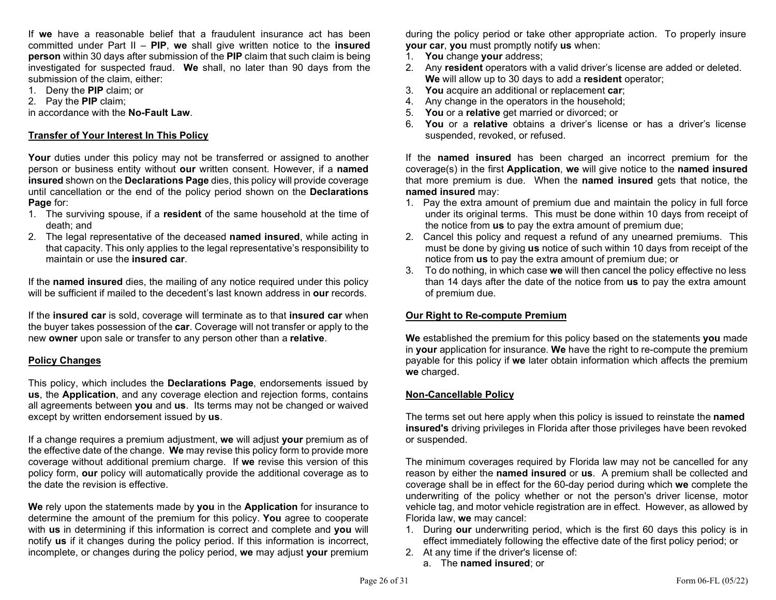If we have a reasonable belief that a fraudulent insurance act has been committed under Part II –  $PIP$ , we shall give written notice to the insured person within 30 days after submission of the PIP claim that such claim is being investigated for suspected fraud. We shall, no later than 90 days from the submission of the claim, either:

- 1. Deny the PIP claim; or
- 2. Pay the PIP claim;

in accordance with the No-Fault Law.

### Transfer of Your Interest In This Policy

Your duties under this policy may not be transferred or assigned to another person or business entity without our written consent. However, if a named insured shown on the Declarations Page dies, this policy will provide coverage until cancellation or the end of the policy period shown on the Declarations Page for:

- 1. The surviving spouse, if a resident of the same household at the time of death; and
- 2. The legal representative of the deceased named insured, while acting in that capacity. This only applies to the legal representative's responsibility to maintain or use the insured car.

If the named insured dies, the mailing of any notice required under this policy will be sufficient if mailed to the decedent's last known address in our records.

If the insured car is sold, coverage will terminate as to that insured car when the buyer takes possession of the car. Coverage will not transfer or apply to the new owner upon sale or transfer to any person other than a relative.

### Policy Changes

This policy, which includes the **Declarations Page**, endorsements issued by us, the Application, and any coverage election and rejection forms, contains all agreements between you and us. Its terms may not be changed or waived except by written endorsement issued by us.

If a change requires a premium adjustment, we will adjust your premium as of the effective date of the change. We may revise this policy form to provide more coverage without additional premium charge. If we revise this version of this policy form, our policy will automatically provide the additional coverage as to the date the revision is effective.

We rely upon the statements made by you in the Application for insurance to determine the amount of the premium for this policy. You agree to cooperate with us in determining if this information is correct and complete and you will notify us if it changes during the policy period. If this information is incorrect, incomplete, or changes during the policy period, we may adjust your premium

during the policy period or take other appropriate action. To properly insure your car, you must promptly notify us when:

- 1. You change your address;
- 2. Any resident operators with a valid driver's license are added or deleted. We will allow up to 30 days to add a resident operator;
- 3. You acquire an additional or replacement car;
- 4. Any change in the operators in the household;
- 5. You or a relative get married or divorced; or
- 6. You or a relative obtains a driver's license or has a driver's license suspended, revoked, or refused.

If the named insured has been charged an incorrect premium for the coverage(s) in the first Application, we will give notice to the named insured that more premium is due. When the **named insured** gets that notice, the named insured may:

- 1. Pay the extra amount of premium due and maintain the policy in full force under its original terms. This must be done within 10 days from receipt of the notice from us to pay the extra amount of premium due;
- 2. Cancel this policy and request a refund of any unearned premiums. This must be done by giving **us** notice of such within 10 days from receipt of the notice from us to pay the extra amount of premium due; or
- 3. To do nothing, in which case we will then cancel the policy effective no less than 14 days after the date of the notice from us to pay the extra amount of premium due.

### Our Right to Re-compute Premium

We established the premium for this policy based on the statements you made in your application for insurance. We have the right to re-compute the premium payable for this policy if we later obtain information which affects the premium we charged.

### Non-Cancellable Policy

The terms set out here apply when this policy is issued to reinstate the **named** insured's driving privileges in Florida after those privileges have been revoked or suspended.

The minimum coverages required by Florida law may not be cancelled for any reason by either the named insured or us. A premium shall be collected and coverage shall be in effect for the 60-day period during which we complete the underwriting of the policy whether or not the person's driver license, motor vehicle tag, and motor vehicle registration are in effect. However, as allowed by Florida law, we may cancel:

- 1. During our underwriting period, which is the first 60 days this policy is in effect immediately following the effective date of the first policy period; or
- 2. At any time if the driver's license of:
	- a. The named insured; or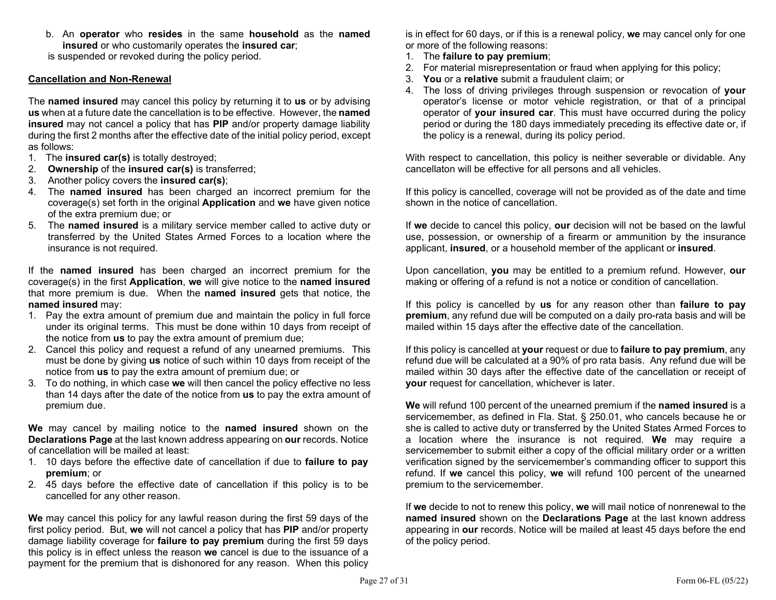b. An operator who resides in the same household as the named insured or who customarily operates the insured car;

is suspended or revoked during the policy period.

### Cancellation and Non-Renewal

The named insured may cancel this policy by returning it to us or by advising us when at a future date the cancellation is to be effective. However, the named insured may not cancel a policy that has PIP and/or property damage liability during the first 2 months after the effective date of the initial policy period, except as follows:

- 1. The **insured car(s)** is totally destroyed;
- 2. Ownership of the insured car(s) is transferred;
- 3. Another policy covers the insured car(s);
- 4. The named insured has been charged an incorrect premium for the coverage(s) set forth in the original Application and we have given notice of the extra premium due; or
- 5. The named insured is a military service member called to active duty or transferred by the United States Armed Forces to a location where the insurance is not required.

If the named insured has been charged an incorrect premium for the coverage(s) in the first Application, we will give notice to the named insured that more premium is due. When the named insured gets that notice, the named insured may:

- 1. Pay the extra amount of premium due and maintain the policy in full force under its original terms. This must be done within 10 days from receipt of the notice from us to pay the extra amount of premium due;
- 2. Cancel this policy and request a refund of any unearned premiums. This must be done by giving **us** notice of such within 10 days from receipt of the notice from us to pay the extra amount of premium due; or
- 3. To do nothing, in which case we will then cancel the policy effective no less than 14 days after the date of the notice from us to pay the extra amount of premium due.

We may cancel by mailing notice to the **named insured** shown on the Declarations Page at the last known address appearing on our records. Notice of cancellation will be mailed at least:

- 1. 10 days before the effective date of cancellation if due to failure to pay premium; or
- 2. 45 days before the effective date of cancellation if this policy is to be cancelled for any other reason.

We may cancel this policy for any lawful reason during the first 59 days of the first policy period. But, we will not cancel a policy that has PIP and/or property damage liability coverage for failure to pay premium during the first 59 days this policy is in effect unless the reason we cancel is due to the issuance of a payment for the premium that is dishonored for any reason. When this policy

is in effect for 60 days, or if this is a renewal policy, we may cancel only for one or more of the following reasons:

- 1. The failure to pay premium;
- 2. For material misrepresentation or fraud when applying for this policy;
- 3. You or a relative submit a fraudulent claim; or
- 4. The loss of driving privileges through suspension or revocation of your operator's license or motor vehicle registration, or that of a principal operator of your insured car. This must have occurred during the policy period or during the 180 days immediately preceding its effective date or, if the policy is a renewal, during its policy period.

With respect to cancellation, this policy is neither severable or dividable. Any cancellaton will be effective for all persons and all vehicles.

If this policy is cancelled, coverage will not be provided as of the date and time shown in the notice of cancellation.

If we decide to cancel this policy, our decision will not be based on the lawful use, possession, or ownership of a firearm or ammunition by the insurance applicant, insured, or a household member of the applicant or insured.

Upon cancellation, you may be entitled to a premium refund. However, our making or offering of a refund is not a notice or condition of cancellation.

If this policy is cancelled by us for any reason other than failure to pay premium, any refund due will be computed on a daily pro-rata basis and will be mailed within 15 days after the effective date of the cancellation.

If this policy is cancelled at your request or due to failure to pay premium, any refund due will be calculated at a 90% of pro rata basis. Any refund due will be mailed within 30 days after the effective date of the cancellation or receipt of your request for cancellation, whichever is later.

We will refund 100 percent of the unearned premium if the named insured is a servicemember, as defined in Fla. Stat. § 250.01, who cancels because he or she is called to active duty or transferred by the United States Armed Forces to a location where the insurance is not required. We may require a servicemember to submit either a copy of the official military order or a written verification signed by the servicemember's commanding officer to support this refund. If we cancel this policy, we will refund 100 percent of the unearned premium to the servicemember.

If we decide to not to renew this policy, we will mail notice of nonrenewal to the named insured shown on the Declarations Page at the last known address appearing in our records. Notice will be mailed at least 45 days before the end of the policy period.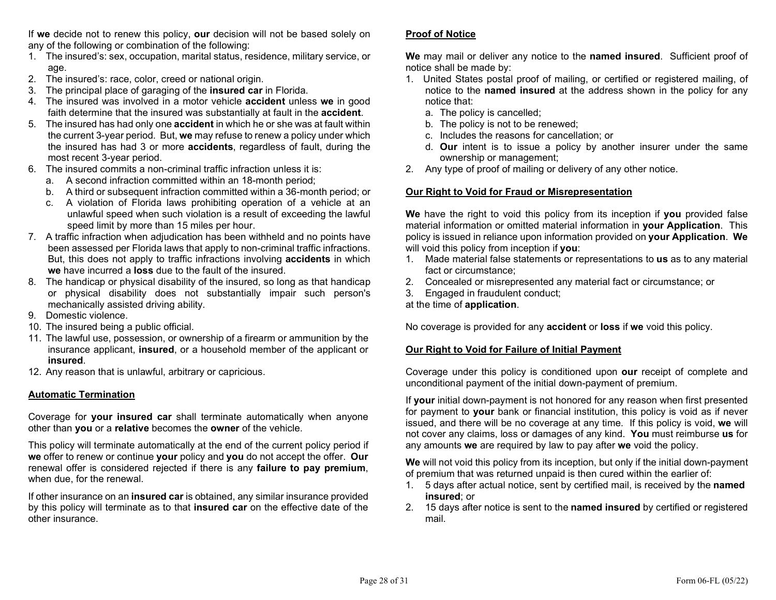If we decide not to renew this policy, our decision will not be based solely on any of the following or combination of the following:

- 1. The insured's: sex, occupation, marital status, residence, military service, or age.
- 2. The insured's: race, color, creed or national origin.
- 3. The principal place of garaging of the **insured car** in Florida.
- 4. The insured was involved in a motor vehicle accident unless we in good faith determine that the insured was substantially at fault in the **accident**.
- 5. The insured has had only one **accident** in which he or she was at fault within the current 3-year period. But, we may refuse to renew a policy under which the insured has had 3 or more accidents, regardless of fault, during the most recent 3-year period.
- 6. The insured commits a non-criminal traffic infraction unless it is:
	- a. A second infraction committed within an 18-month period;
	- b. A third or subsequent infraction committed within a 36-month period; or
	- c. A violation of Florida laws prohibiting operation of a vehicle at an unlawful speed when such violation is a result of exceeding the lawful speed limit by more than 15 miles per hour.
- 7. A traffic infraction when adjudication has been withheld and no points have been assessed per Florida laws that apply to non-criminal traffic infractions. But, this does not apply to traffic infractions involving accidents in which we have incurred a **loss** due to the fault of the insured.
- 8. The handicap or physical disability of the insured, so long as that handicap or physical disability does not substantially impair such person's mechanically assisted driving ability.
- 9. Domestic violence.
- 10. The insured being a public official.
- 11. The lawful use, possession, or ownership of a firearm or ammunition by the insurance applicant, insured, or a household member of the applicant or insured.
- 12. Any reason that is unlawful, arbitrary or capricious.

### Automatic Termination

Coverage for your insured car shall terminate automatically when anyone other than you or a relative becomes the owner of the vehicle.

This policy will terminate automatically at the end of the current policy period if we offer to renew or continue your policy and you do not accept the offer. Our renewal offer is considered rejected if there is any failure to pay premium, when due, for the renewal.

If other insurance on an insured car is obtained, any similar insurance provided by this policy will terminate as to that insured car on the effective date of the other insurance.

### Proof of Notice

We may mail or deliver any notice to the named insured. Sufficient proof of notice shall be made by:

- 1. United States postal proof of mailing, or certified or registered mailing, of notice to the named insured at the address shown in the policy for any notice that:
	- a. The policy is cancelled;
	- b. The policy is not to be renewed;
	- c. Includes the reasons for cancellation; or
	- d. Our intent is to issue a policy by another insurer under the same ownership or management;
- 2. Any type of proof of mailing or delivery of any other notice.

### Our Right to Void for Fraud or Misrepresentation

We have the right to void this policy from its inception if you provided false material information or omitted material information in your Application. This policy is issued in reliance upon information provided on your Application. We will void this policy from inception if you:

- 1. Made material false statements or representations to us as to any material fact or circumstance;
- 2. Concealed or misrepresented any material fact or circumstance; or
- 3. Engaged in fraudulent conduct;

at the time of application.

No coverage is provided for any **accident** or **loss** if we void this policy.

### Our Right to Void for Failure of Initial Payment

Coverage under this policy is conditioned upon our receipt of complete and unconditional payment of the initial down-payment of premium.

If your initial down-payment is not honored for any reason when first presented for payment to your bank or financial institution, this policy is void as if never issued, and there will be no coverage at any time. If this policy is void, we will not cover any claims, loss or damages of any kind. You must reimburse us for any amounts we are required by law to pay after we void the policy.

We will not void this policy from its inception, but only if the initial down-payment of premium that was returned unpaid is then cured within the earlier of:

- 1. 5 days after actual notice, sent by certified mail, is received by the named insured; or
- 2. 15 days after notice is sent to the **named insured** by certified or registered mail.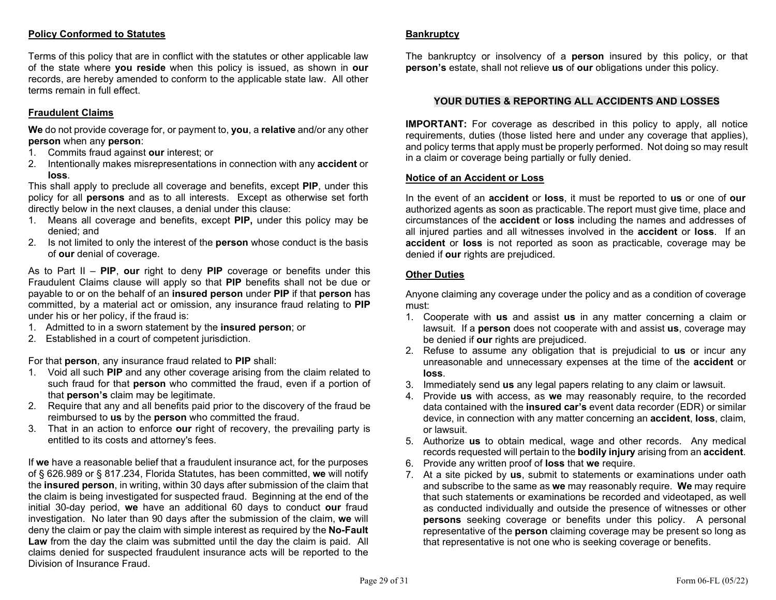### Policy Conformed to Statutes

Terms of this policy that are in conflict with the statutes or other applicable law of the state where you reside when this policy is issued, as shown in our records, are hereby amended to conform to the applicable state law. All other terms remain in full effect.

### Fraudulent Claims

We do not provide coverage for, or payment to, you, a relative and/or any other person when any person:

- 1. Commits fraud against our interest; or
- 2. Intentionally makes misrepresentations in connection with any accident or loss.

This shall apply to preclude all coverage and benefits, except PIP, under this policy for all persons and as to all interests. Except as otherwise set forth directly below in the next clauses, a denial under this clause:

- 1. Means all coverage and benefits, except PIP, under this policy may be denied; and
- 2. Is not limited to only the interest of the **person** whose conduct is the basis of our denial of coverage.

As to Part  $II - PIP$ , our right to deny PIP coverage or benefits under this Fraudulent Claims clause will apply so that PIP benefits shall not be due or payable to or on the behalf of an insured person under PIP if that person has committed, by a material act or omission, any insurance fraud relating to PIP under his or her policy, if the fraud is:

- 1. Admitted to in a sworn statement by the insured person; or
- 2. Established in a court of competent jurisdiction.

For that person, any insurance fraud related to PIP shall:

- 1. Void all such PIP and any other coverage arising from the claim related to such fraud for that **person** who committed the fraud, even if a portion of that person's claim may be legitimate.
- 2. Require that any and all benefits paid prior to the discovery of the fraud be reimbursed to us by the person who committed the fraud.
- 3. That in an action to enforce our right of recovery, the prevailing party is entitled to its costs and attorney's fees.

If we have a reasonable belief that a fraudulent insurance act, for the purposes of § 626.989 or § 817.234, Florida Statutes, has been committed, we will notify the insured person, in writing, within 30 days after submission of the claim that the claim is being investigated for suspected fraud. Beginning at the end of the initial 30-day period, we have an additional 60 days to conduct our fraud investigation. No later than 90 days after the submission of the claim, we will deny the claim or pay the claim with simple interest as required by the **No-Fault** Law from the day the claim was submitted until the day the claim is paid. All claims denied for suspected fraudulent insurance acts will be reported to the Division of Insurance Fraud.

#### **Bankruptcy**

The bankruptcy or insolvency of a **person** insured by this policy, or that **person's** estate, shall not relieve us of our obligations under this policy.

### YOUR DUTIES & REPORTING ALL ACCIDENTS AND LOSSES

IMPORTANT: For coverage as described in this policy to apply, all notice requirements, duties (those listed here and under any coverage that applies), and policy terms that apply must be properly performed. Not doing so may result in a claim or coverage being partially or fully denied.

#### Notice of an Accident or Loss

In the event of an **accident** or **loss**, it must be reported to **us** or one of **our** authorized agents as soon as practicable. The report must give time, place and circumstances of the accident or loss including the names and addresses of all injured parties and all witnesses involved in the **accident** or **loss**. If an accident or loss is not reported as soon as practicable, coverage may be denied if our rights are prejudiced.

### Other Duties

Anyone claiming any coverage under the policy and as a condition of coverage must:

- 1. Cooperate with us and assist us in any matter concerning a claim or lawsuit. If a **person** does not cooperate with and assist us, coverage may be denied if our rights are prejudiced.
- 2. Refuse to assume any obligation that is prejudicial to us or incur any unreasonable and unnecessary expenses at the time of the accident or loss.
- 3. Immediately send us any legal papers relating to any claim or lawsuit.
- 4. Provide us with access, as we may reasonably require, to the recorded data contained with the insured car's event data recorder (EDR) or similar device, in connection with any matter concerning an accident, loss, claim, or lawsuit.
- 5. Authorize us to obtain medical, wage and other records. Any medical records requested will pertain to the bodily injury arising from an accident.
- 6. Provide any written proof of loss that we require.
- 7. At a site picked by us, submit to statements or examinations under oath and subscribe to the same as we may reasonably require. We may require that such statements or examinations be recorded and videotaped, as well as conducted individually and outside the presence of witnesses or other persons seeking coverage or benefits under this policy. A personal representative of the **person** claiming coverage may be present so long as that representative is not one who is seeking coverage or benefits.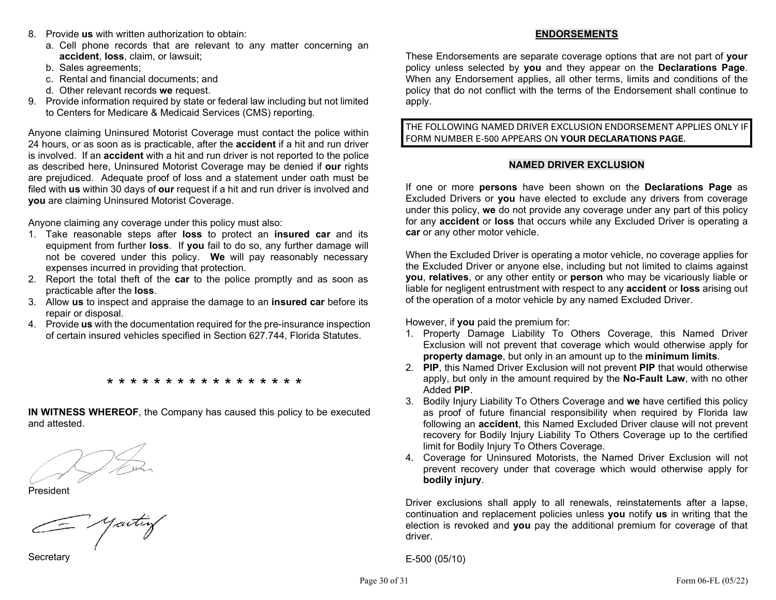- 8. Provide us with written authorization to obtain:
	- a. Cell phone records that are relevant to any matter concerning an accident, loss, claim, or lawsuit;
	- b. Sales agreements;
	- c. Rental and financial documents; and
	- d. Other relevant records we request.
- 9. Provide information required by state or federal law including but not limited to Centers for Medicare & Medicaid Services (CMS) reporting.

Anyone claiming Uninsured Motorist Coverage must contact the police within 24 hours, or as soon as is practicable, after the **accident** if a hit and run driver is involved. If an **accident** with a hit and run driver is not reported to the police as described here, Uninsured Motorist Coverage may be denied if our rights are prejudiced. Adequate proof of loss and a statement under oath must be filed with us within 30 days of our request if a hit and run driver is involved and you are claiming Uninsured Motorist Coverage.

Anyone claiming any coverage under this policy must also:

- 1. Take reasonable steps after loss to protect an insured car and its equipment from further loss. If you fail to do so, any further damage will not be covered under this policy. We will pay reasonably necessary expenses incurred in providing that protection.
- 2. Report the total theft of the car to the police promptly and as soon as practicable after the loss.
- 3. Allow us to inspect and appraise the damage to an insured car before its repair or disposal.
- 4. Provide us with the documentation required for the pre-insurance inspection of certain insured vehicles specified in Section 627.744, Florida Statutes.

\* \* \* \* \* \* \* \* \* \* \* \* \* \* \* \*

IN WITNESS WHEREOF, the Company has caused this policy to be executed and attested.

President

= yaitiy

**Secretary** 

## ENDORSEMENTS

These Endorsements are separate coverage options that are not part of your policy unless selected by you and they appear on the Declarations Page. When any Endorsement applies, all other terms, limits and conditions of the policy that do not conflict with the terms of the Endorsement shall continue to apply.

THE FOLLOWING NAMED DRIVER EXCLUSION ENDORSEMENT APPLIES ONLY IF FORM NUMBER E-500 APPEARS ON YOUR DECLARATIONS PAGE.

### NAMED DRIVER EXCLUSION

If one or more **persons** have been shown on the **Declarations Page** as Excluded Drivers or you have elected to exclude any drivers from coverage under this policy, we do not provide any coverage under any part of this policy for any **accident** or loss that occurs while any Excluded Driver is operating a car or any other motor vehicle.

When the Excluded Driver is operating a motor vehicle, no coverage applies for the Excluded Driver or anyone else, including but not limited to claims against you, relatives, or any other entity or person who may be vicariously liable or liable for negligent entrustment with respect to any accident or loss arising out of the operation of a motor vehicle by any named Excluded Driver.

However, if you paid the premium for:

- 1. Property Damage Liability To Others Coverage, this Named Driver Exclusion will not prevent that coverage which would otherwise apply for property damage, but only in an amount up to the minimum limits.
- 2. PIP, this Named Driver Exclusion will not prevent PIP that would otherwise apply, but only in the amount required by the **No-Fault Law**, with no other Added PIP.
- 3. Bodily Injury Liability To Others Coverage and we have certified this policy as proof of future financial responsibility when required by Florida law following an accident, this Named Excluded Driver clause will not prevent recovery for Bodily Injury Liability To Others Coverage up to the certified limit for Bodily Injury To Others Coverage.
- 4. Coverage for Uninsured Motorists, the Named Driver Exclusion will not prevent recovery under that coverage which would otherwise apply for bodily injury.

Driver exclusions shall apply to all renewals, reinstatements after a lapse, continuation and replacement policies unless you notify us in writing that the election is revoked and you pay the additional premium for coverage of that driver.

E-500 (05/10)